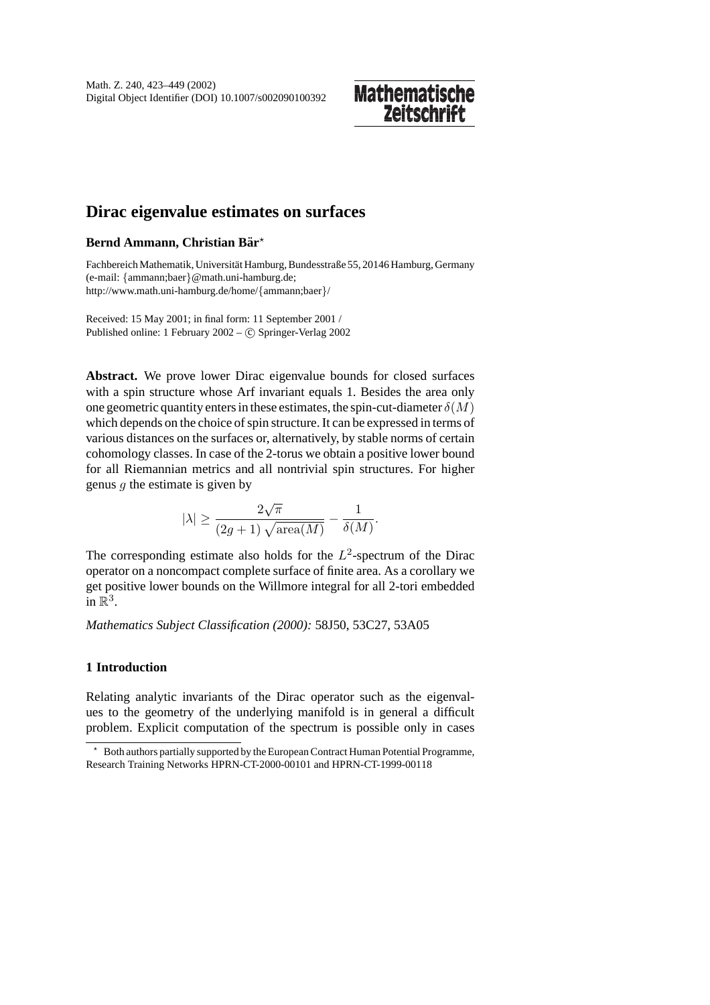# **Mathematische Zeitschrif**

# **Dirac eigenvalue estimates on surfaces**

### **Bernd Ammann, Christian Bar¨**

Fachbereich Mathematik, Universität Hamburg, Bundesstraße 55, 20146 Hamburg, Germany (e-mail: {ammann;baer}@math.uni-hamburg.de; http://www.math.uni-hamburg.de/home/{ammann;baer}/

Received: 15 May 2001; in final form: 11 September 2001 / Published online: 1 February 2002 – C Springer-Verlag 2002

**Abstract.** We prove lower Dirac eigenvalue bounds for closed surfaces with a spin structure whose Arf invariant equals 1. Besides the area only one geometric quantity enters in these estimates, the spin-cut-diameter  $\delta(M)$ which depends on the choice of spin structure. It can be expressed in terms of various distances on the surfaces or, alternatively, by stable norms of certain cohomology classes. In case of the 2-torus we obtain a positive lower bound for all Riemannian metrics and all nontrivial spin structures. For higher genus  $q$  the estimate is given by

$$
|\lambda| \ge \frac{2\sqrt{\pi}}{(2g+1)\sqrt{\text{area}(M)}} - \frac{1}{\delta(M)}.
$$

The corresponding estimate also holds for the  $L^2$ -spectrum of the Dirac operator on a noncompact complete surface of finite area. As a corollary we get positive lower bounds on the Willmore integral for all 2-tori embedded in  $\mathbb{R}^3$ .

*Mathematics Subject Classification (2000):* 58J50, 53C27, 53A05

## **1 Introduction**

Relating analytic invariants of the Dirac operator such as the eigenvalues to the geometry of the underlying manifold is in general a difficult problem. Explicit computation of the spectrum is possible only in cases

Both authors partially supported by the European Contract Human Potential Programme, Research Training Networks HPRN-CT-2000-00101 and HPRN-CT-1999-00118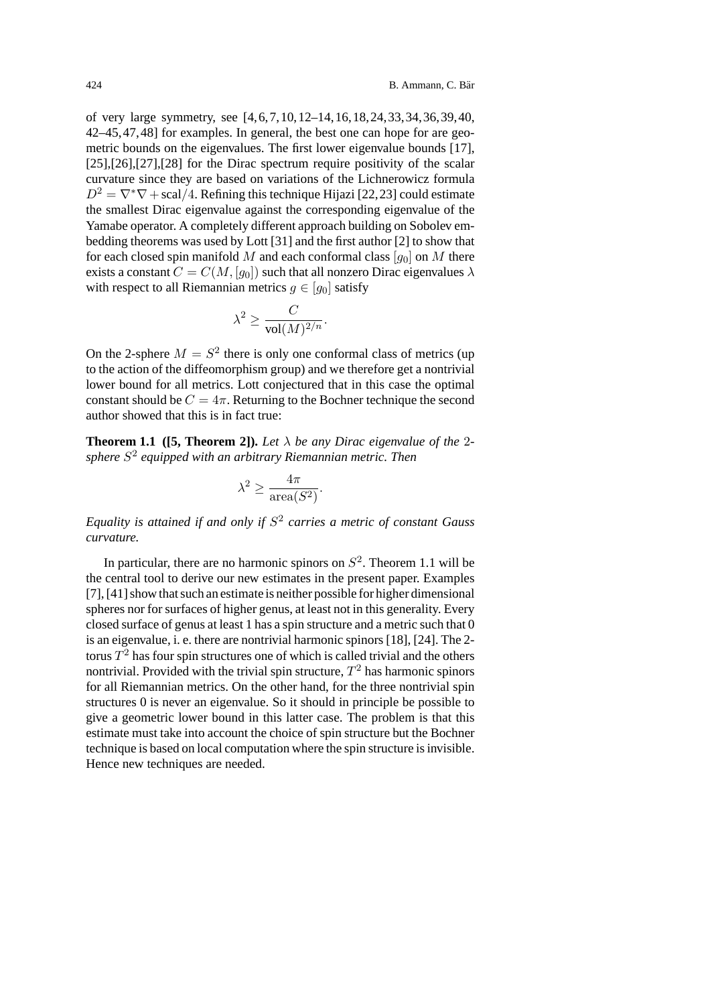of very large symmetry, see [4,6,7,10,12–14,16,18,24,33,34,36,39,40, 42–45,47,48] for examples. In general, the best one can hope for are geometric bounds on the eigenvalues. The first lower eigenvalue bounds [17], [25],[26],[27],[28] for the Dirac spectrum require positivity of the scalar curvature since they are based on variations of the Lichnerowicz formula  $D^2 = \nabla^* \nabla + \text{scal}/4$ . Refining this technique Hijazi [22, 23] could estimate the smallest Dirac eigenvalue against the corresponding eigenvalue of the Yamabe operator. A completely different approach building on Sobolev embedding theorems was used by Lott [31] and the first author [2] to show that for each closed spin manifold M and each conformal class  $[q_0]$  on M there exists a constant  $C = C(M, [q_0])$  such that all nonzero Dirac eigenvalues  $\lambda$ with respect to all Riemannian metrics  $q \in [q_0]$  satisfy

$$
\lambda^2 \ge \frac{C}{\text{vol}(M)^{2/n}}.
$$

On the 2-sphere  $M = S^2$  there is only one conformal class of metrics (up to the action of the diffeomorphism group) and we therefore get a nontrivial lower bound for all metrics. Lott conjectured that in this case the optimal constant should be  $C = 4\pi$ . Returning to the Bochner technique the second author showed that this is in fact true:

**Theorem 1.1** ([5, **Theorem 2]**). Let  $\lambda$  be any Dirac eigenvalue of the 2*sphere* S<sup>2</sup> *equipped with an arbitrary Riemannian metric. Then*

$$
\lambda^2 \ge \frac{4\pi}{\operatorname{area}(S^2)}.
$$

*Equality is attained if and only if* S<sup>2</sup> *carries a metric of constant Gauss curvature.*

In particular, there are no harmonic spinors on  $S^2$ . Theorem 1.1 will be the central tool to derive our new estimates in the present paper. Examples [7],[41] show that such an estimate is neither possible for higher dimensional spheres nor for surfaces of higher genus, at least not in this generality. Every closed surface of genus at least 1 has a spin structure and a metric such that 0 is an eigenvalue, i. e. there are nontrivial harmonic spinors  $[18]$ ,  $[24]$ . The 2torus  $T<sup>2</sup>$  has four spin structures one of which is called trivial and the others nontrivial. Provided with the trivial spin structure,  $T^2$  has harmonic spinors for all Riemannian metrics. On the other hand, for the three nontrivial spin structures 0 is never an eigenvalue. So it should in principle be possible to give a geometric lower bound in this latter case. The problem is that this estimate must take into account the choice of spin structure but the Bochner technique is based on local computation where the spin structure is invisible. Hence new techniques are needed.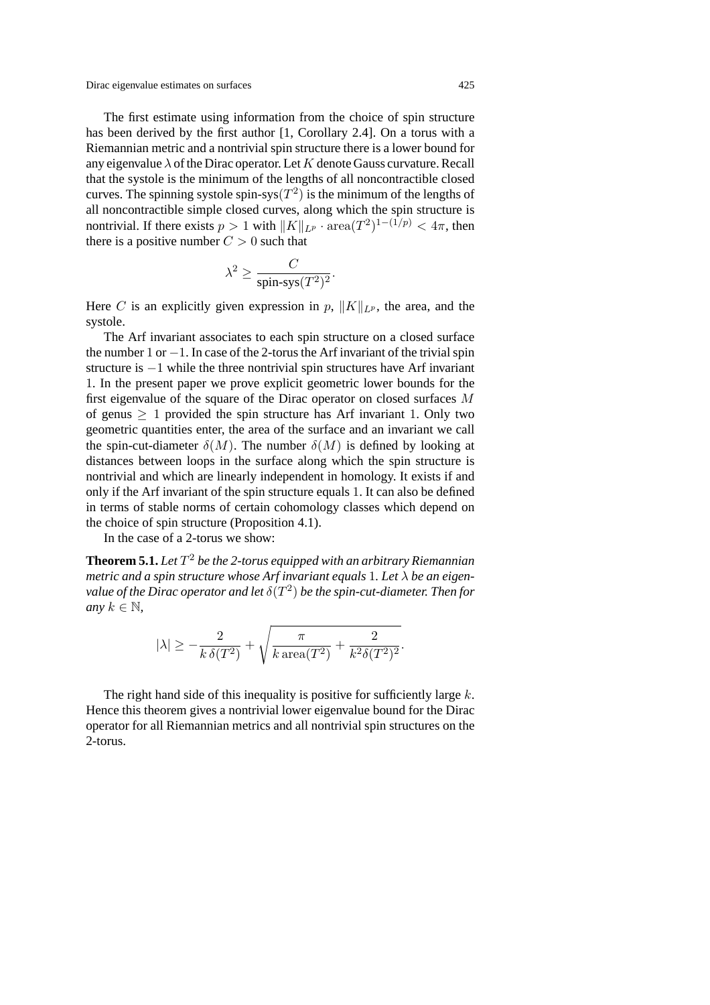The first estimate using information from the choice of spin structure has been derived by the first author  $[1, Corollary 2.4]$ . On a torus with a Riemannian metric and a nontrivial spin structure there is a lower bound for any eigenvalue  $\lambda$  of the Dirac operator. Let K denote Gauss curvature. Recall that the systole is the minimum of the lengths of all noncontractible closed curves. The spinning systole spin-sys $(T^2)$  is the minimum of the lengths of all noncontractible simple closed curves, along which the spin structure is nontrivial. If there exists  $p > 1$  with  $||K||_{LP} \cdot \text{area}(T^2)^{1-(1/p)} < 4\pi$ , then there is a positive number  $C > 0$  such that

$$
\lambda^2 \ge \frac{C}{\text{spin-sys}(T^2)^2}.
$$

Here C is an explicitly given expression in p,  $||K||_{L^p}$ , the area, and the systole.

The Arf invariant associates to each spin structure on a closed surface the number 1 or  $-1$ . In case of the 2-torus the Arf invariant of the trivial spin structure is −1 while the three nontrivial spin structures have Arf invariant 1. In the present paper we prove explicit geometric lower bounds for the first eigenvalue of the square of the Dirac operator on closed surfaces M of genus  $> 1$  provided the spin structure has Arf invariant 1. Only two geometric quantities enter, the area of the surface and an invariant we call the spin-cut-diameter  $\delta(M)$ . The number  $\delta(M)$  is defined by looking at distances between loops in the surface along which the spin structure is nontrivial and which are linearly independent in homology. It exists if and only if the Arf invariant of the spin structure equals 1. It can also be defined in terms of stable norms of certain cohomology classes which depend on the choice of spin structure (Proposition 4.1).

In the case of a 2-torus we show:

**Theorem 5.1.** Let  $T^2$  be the 2-torus equipped with an arbitrary Riemannian *metric and a spin structure whose Arf invariant equals* 1*. Let* λ *be an eigenvalue of the Dirac operator and let*  $\delta(T^2)$  *be the spin-cut-diameter. Then for any*  $k \in \mathbb{N}$ ,

$$
|\lambda|\geq -\frac{2}{k\,\delta(T^2)}+\sqrt{\frac{\pi}{k\,\mathrm{area}(T^2)}+\frac{2}{k^2\delta(T^2)^2}}.
$$

The right hand side of this inequality is positive for sufficiently large  $k$ . Hence this theorem gives a nontrivial lower eigenvalue bound for the Dirac operator for all Riemannian metrics and all nontrivial spin structures on the 2-torus.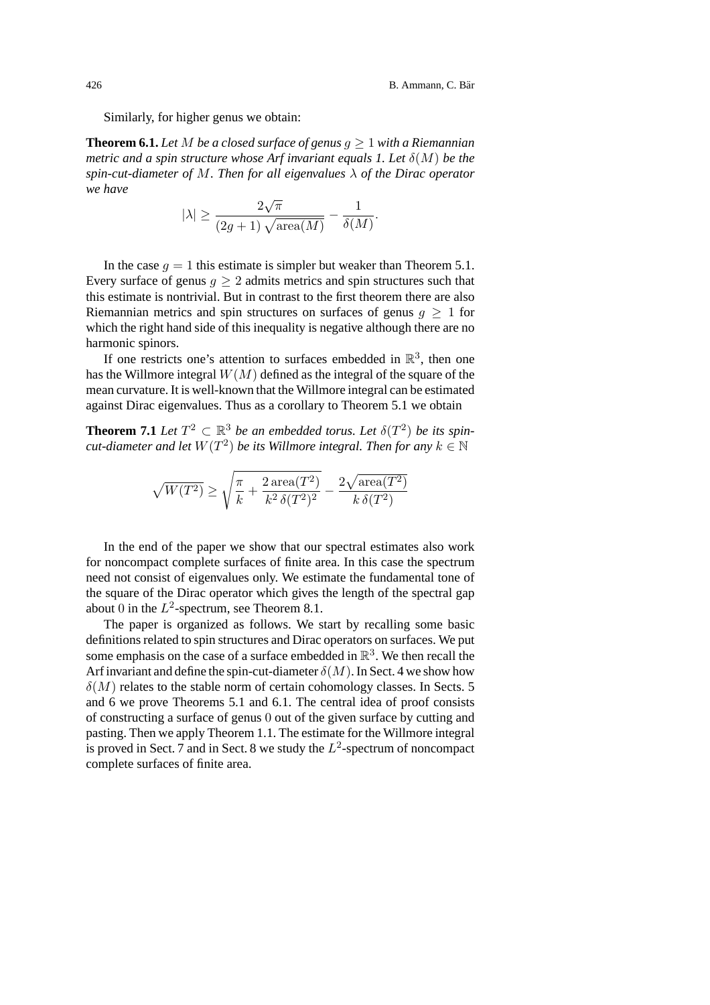Similarly, for higher genus we obtain:

**Theorem 6.1.** Let M be a closed surface of genus  $q \ge 1$  with a Riemannian *metric and a spin structure whose Arf invariant equals 1. Let*  $\delta(M)$  *be the spin-cut-diameter of* M*. Then for all eigenvalues* λ *of the Dirac operator we have*

$$
|\lambda| \ge \frac{2\sqrt{\pi}}{(2g+1)\sqrt{\text{area}(M)}} - \frac{1}{\delta(M)}.
$$

In the case  $q = 1$  this estimate is simpler but weaker than Theorem 5.1. Every surface of genus  $q > 2$  admits metrics and spin structures such that this estimate is nontrivial. But in contrast to the first theorem there are also Riemannian metrics and spin structures on surfaces of genus  $q > 1$  for which the right hand side of this inequality is negative although there are no harmonic spinors.

If one restricts one's attention to surfaces embedded in  $\mathbb{R}^3$ , then one has the Willmore integral  $W(M)$  defined as the integral of the square of the mean curvature. It is well-known that the Willmore integral can be estimated against Dirac eigenvalues. Thus as a corollary to Theorem 5.1 we obtain

**Theorem 7.1** *Let*  $T^2 \subset \mathbb{R}^3$  *be an embedded torus. Let*  $\delta(T^2)$  *be its spincut-diameter and let*  $W(T^2)$  *be its Willmore integral. Then for any*  $k \in \mathbb{N}$ 

$$
\sqrt{W(T^2)} \geq \sqrt{\frac{\pi}{k} + \frac{2\operatorname{area}(T^2)}{k^2 \, \delta(T^2)^2}} - \frac{2\sqrt{\operatorname{area}(T^2)}}{k \, \delta(T^2)}
$$

In the end of the paper we show that our spectral estimates also work for noncompact complete surfaces of finite area. In this case the spectrum need not consist of eigenvalues only. We estimate the fundamental tone of the square of the Dirac operator which gives the length of the spectral gap about 0 in the  $L^2$ -spectrum, see Theorem 8.1.

The paper is organized as follows. We start by recalling some basic definitions related to spin structures and Dirac operators on surfaces. We put some emphasis on the case of a surface embedded in  $\mathbb{R}^3$ . We then recall the Arf invariant and define the spin-cut-diameter  $\delta(M)$ . In Sect. 4 we show how  $\delta(M)$  relates to the stable norm of certain cohomology classes. In Sects. 5 and 6 we prove Theorems 5.1 and 6.1. The central idea of proof consists of constructing a surface of genus 0 out of the given surface by cutting and pasting. Then we apply Theorem 1.1. The estimate for the Willmore integral is proved in Sect. 7 and in Sect. 8 we study the  $L^2$ -spectrum of noncompact complete surfaces of finite area.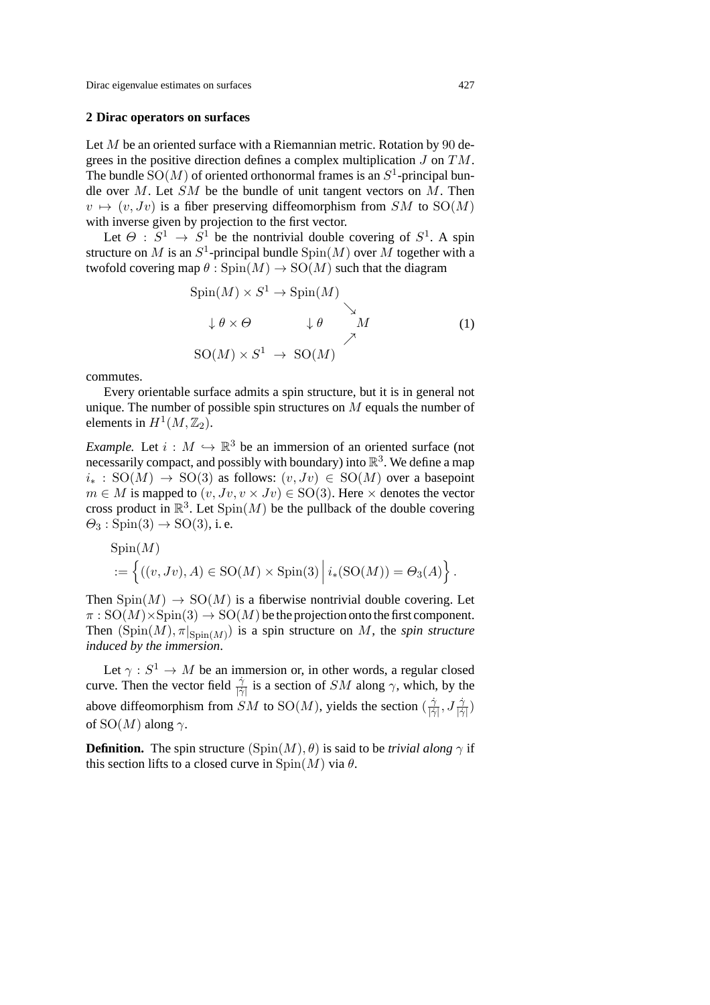#### **2Dirac operators on surfaces**

Let  $M$  be an oriented surface with a Riemannian metric. Rotation by 90 degrees in the positive direction defines a complex multiplication  $J$  on  $TM$ . The bundle  $SO(M)$  of oriented orthonormal frames is an  $S^1$ -principal bundle over  $M$ . Let  $SM$  be the bundle of unit tangent vectors on  $M$ . Then  $v \mapsto (v, Jv)$  is a fiber preserving diffeomorphism from  $SM$  to  $SO(M)$ with inverse given by projection to the first vector.

Let  $\Theta$ :  $S^1 \rightarrow S^1$  be the nontrivial double covering of  $S^1$ . A spin structure on M is an  $S^1$ -principal bundle  $Spin(M)$  over M together with a twofold covering map  $\theta$ : Spin $(M) \rightarrow SO(M)$  such that the diagram

$$
Spin(M) \times S^1 \to Spin(M)
$$
  
\n
$$
\downarrow \theta \times \Theta \qquad \downarrow \theta \qquad M
$$
  
\n
$$
SO(M) \times S^1 \to SO(M)
$$
 (1)

commutes.

Every orientable surface admits a spin structure, but it is in general not unique. The number of possible spin structures on M equals the number of elements in  $H^1(M, \mathbb{Z}_2)$ .

*Example.* Let  $i : M \hookrightarrow \mathbb{R}^3$  be an immersion of an oriented surface (not necessarily compact, and possibly with boundary) into  $\mathbb{R}^3$ . We define a map  $i_* : SO(M) \rightarrow SO(3)$  as follows:  $(v, Jv) \in SO(M)$  over a basepoint  $m \in M$  is mapped to  $(v, Jv, v \times Jv) \in SO(3)$ . Here  $\times$  denotes the vector cross product in  $\mathbb{R}^3$ . Let  $\text{Spin}(M)$  be the pullback of the double covering  $\Theta_3: \text{Spin}(3) \rightarrow \text{SO}(3)$ , i.e.

$$
Spin(M)
$$
  
 :=  $\left\{ ((v, Jv), A) \in SO(M) \times Spin(3) \mid i_*(SO(M)) = \Theta_3(A) \right\}.$ 

Then  $Spin(M) \rightarrow SO(M)$  is a fiberwise nontrivial double covering. Let  $\pi : SO(M) \times Spin(3) \rightarrow SO(M)$  be the projection onto the first component. Then  $(Spin(M), \pi|_{Spin(M)})$  is a spin structure on M, the *spin structure induced by the immersion*.

Let  $\gamma : S^1 \to M$  be an immersion or, in other words, a regular closed curve. Then the vector field  $\frac{\gamma}{|\gamma|}$  is a section of SM along  $\gamma$ , which, by the above diffeomorphism from SM to SO(M), yields the section  $(\frac{\dot{\gamma}}{|\dot{\gamma}|}, J\frac{\dot{\gamma}}{|\dot{\gamma}|})$ of  $SO(M)$  along  $\gamma$ .

**Definition.** The spin structure  $(\text{Spin}(M), \theta)$  is said to be *trivial along*  $\gamma$  if this section lifts to a closed curve in  $\text{Spin}(M)$  via  $\theta$ .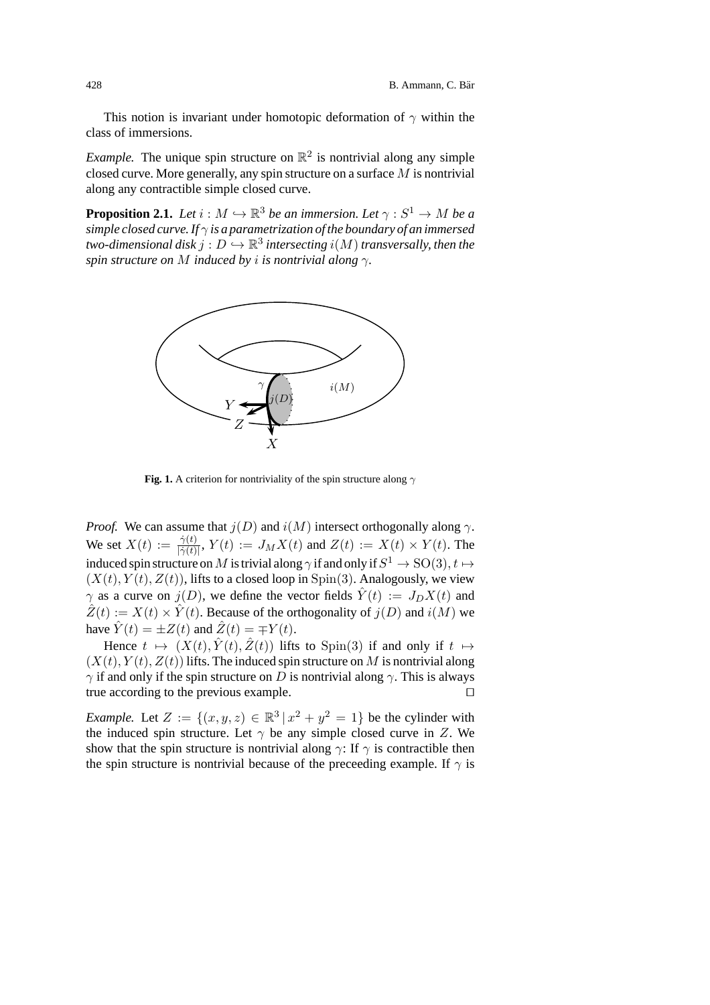This notion is invariant under homotopic deformation of  $\gamma$  within the class of immersions.

*Example.* The unique spin structure on  $\mathbb{R}^2$  is nontrivial along any simple closed curve. More generally, any spin structure on a surface  $M$  is nontrivial along any contractible simple closed curve.

**Proposition 2.1.** *Let*  $i : M \hookrightarrow \mathbb{R}^3$  *be an immersion. Let*  $\gamma : S^1 \to M$  *be a simple closed curve. If* γ *is a parametrization of the boundary of an immersed two-dimensional disk*  $j: D \hookrightarrow \mathbb{R}^3$  *intersecting*  $i(M)$  *transversally, then the spin structure on* M *induced by* i *is nontrivial along* γ*.*



**Fig. 1.** A criterion for nontriviality of the spin structure along  $\gamma$ 

*Proof.* We can assume that  $j(D)$  and  $i(M)$  intersect orthogonally along  $\gamma$ . We set  $X(t) := \frac{\dot{\gamma}(t)}{|\dot{\gamma}(t)|}$ ,  $Y(t) := J_M X(t)$  and  $Z(t) := X(t) \times Y(t)$ . The induced spin structure on  $M$  is trivial along  $\gamma$  if and only if  $S^1 \to \mathrm{SO}(3), t \mapsto$  $(X(t), Y(t), Z(t))$ , lifts to a closed loop in Spin(3). Analogously, we view  $\gamma$  as a curve on  $j(D)$ , we define the vector fields  $\hat{Y}(t) := J_D X(t)$  and  $\hat{Z}(t) := X(t) \times \hat{Y}(t)$ . Because of the orthogonality of  $j(D)$  and  $i(M)$  we have  $\hat{Y}(t) = \pm Z(t)$  and  $\hat{Z}(t) = \mp Y(t)$ .

Hence  $t \mapsto (X(t), \hat{Y}(t), \hat{Z}(t))$  lifts to Spin(3) if and only if  $t \mapsto$  $(X(t), Y(t), Z(t))$  lifts. The induced spin structure on M is nontrivial along  $\gamma$  if and only if the spin structure on D is nontrivial along  $\gamma$ . This is always true according to the previous example.

*Example.* Let  $Z := \{(x, y, z) \in \mathbb{R}^3 \mid x^2 + y^2 = 1\}$  be the cylinder with the induced spin structure. Let  $\gamma$  be any simple closed curve in Z. We show that the spin structure is nontrivial along  $\gamma$ : If  $\gamma$  is contractible then the spin structure is nontrivial because of the preceeding example. If  $\gamma$  is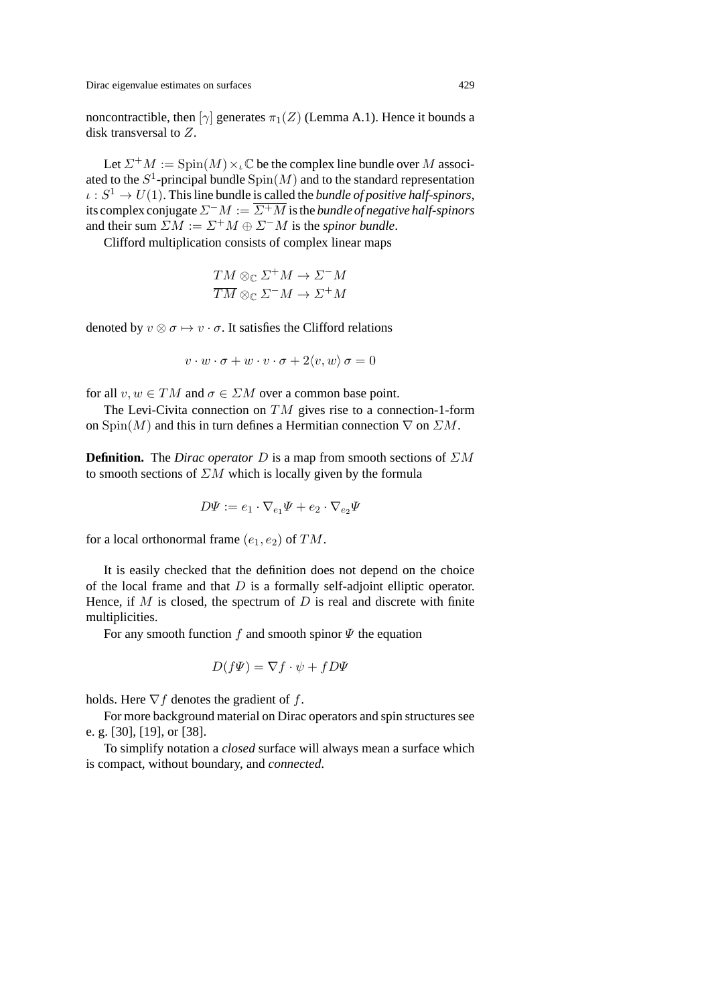noncontractible, then  $[\gamma]$  generates  $\pi_1(Z)$  (Lemma A.1). Hence it bounds a disk transversal to Z.

Let  $\Sigma^+M := \text{Spin}(M) \times \mathcal{C}$  be the complex line bundle over M associated to the  $S^1$ -principal bundle  $\text{Spin}(M)$  and to the standard representation  $\iota : S^1 \to U(1)$ . This line bundle is called the *bundle of positive half-spinors*, its complex conjugate  $\Sigma^-M := \overline{\Sigma^+M}$  is the *bundle of negative half-spinors* and their sum  $\Sigma M := \Sigma^+ M \oplus \Sigma^- M$  is the *spinor bundle*.

Clifford multiplication consists of complex linear maps

$$
\frac{TM \otimes_{\mathbb{C}} \Sigma^+ M \to \Sigma^- M}{TM \otimes_{\mathbb{C}} \Sigma^- M \to \Sigma^+ M}
$$

denoted by  $v \otimes \sigma \mapsto v \cdot \sigma$ . It satisfies the Clifford relations

$$
v \cdot w \cdot \sigma + w \cdot v \cdot \sigma + 2 \langle v, w \rangle \sigma = 0
$$

for all  $v, w \in TM$  and  $\sigma \in \Sigma M$  over a common base point.

The Levi-Civita connection on  $TM$  gives rise to a connection-1-form on  $\text{Spin}(M)$  and this in turn defines a Hermitian connection  $\nabla$  on  $\mathbb{Z}M$ .

**Definition.** The *Dirac operator* D is a map from smooth sections of  $\Sigma M$ to smooth sections of  $\Sigma M$  which is locally given by the formula

$$
D\Psi := e_1 \cdot \nabla_{e_1} \Psi + e_2 \cdot \nabla_{e_2} \Psi
$$

for a local orthonormal frame  $(e_1, e_2)$  of TM.

It is easily checked that the definition does not depend on the choice of the local frame and that  $D$  is a formally self-adjoint elliptic operator. Hence, if  $M$  is closed, the spectrum of  $D$  is real and discrete with finite multiplicities.

For any smooth function f and smooth spinor  $\Psi$  the equation

$$
D(f\Psi) = \nabla f \cdot \psi + fD\Psi
$$

holds. Here  $\nabla f$  denotes the gradient of f.

For more background material on Dirac operators and spin structures see e. g. [30],[19],or [38].

To simplify notation a *closed* surface will always mean a surface which is compact, without boundary, and *connected*.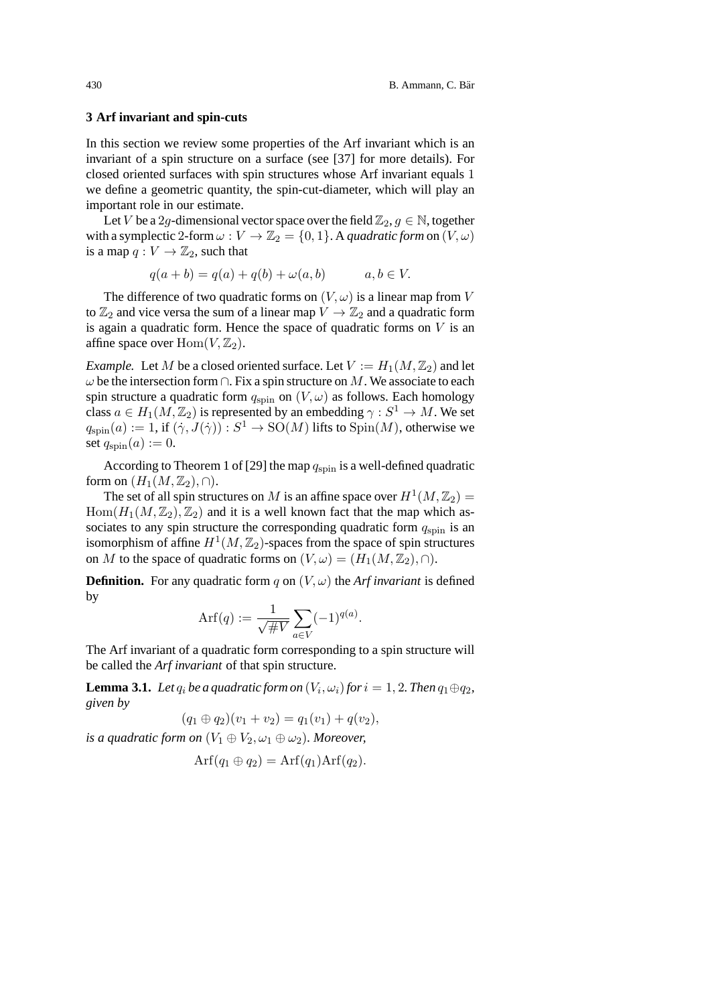#### **3 Arf invariant and spin-cuts**

In this section we review some properties of the Arf invariant which is an invariant of a spin structure on a surface (see [37] for more details). For closed oriented surfaces with spin structures whose Arf invariant equals 1 we define a geometric quantity, the spin-cut-diameter, which will play an important role in our estimate.

Let V be a 2g-dimensional vector space over the field  $\mathbb{Z}_2$ ,  $g \in \mathbb{N}$ , together with a symplectic 2-form  $\omega : V \to \mathbb{Z}_2 = \{0, 1\}$ . A *quadratic form* on  $(V, \omega)$ is a map  $q: V \to \mathbb{Z}_2$ , such that

$$
q(a+b) = q(a) + q(b) + \omega(a,b) \qquad a, b \in V.
$$

The difference of two quadratic forms on  $(V, \omega)$  is a linear map from V to  $\mathbb{Z}_2$  and vice versa the sum of a linear map  $V \to \mathbb{Z}_2$  and a quadratic form is again a quadratic form. Hence the space of quadratic forms on  $V$  is an affine space over  $\text{Hom}(V, \mathbb{Z}_2)$ .

*Example.* Let M be a closed oriented surface. Let  $V := H_1(M, \mathbb{Z}_2)$  and let  $\omega$  be the intersection form  $\cap$ . Fix a spin structure on M. We associate to each spin structure a quadratic form  $q_{\text{spin}}$  on  $(V, \omega)$  as follows. Each homology class  $a \in H_1(M, \mathbb{Z}_2)$  is represented by an embedding  $\gamma : S^1 \to M$ . We set  $q_{spin}(a) := 1$ , if  $(\dot{\gamma}, J(\dot{\gamma})) : S^1 \to SO(M)$  lifts to  $Spin(M)$ , otherwise we set  $q_{\text{spin}}(a) := 0$ .

According to Theorem 1 of [29] the map  $q_{\text{spin}}$  is a well-defined quadratic form on  $(H_1(M,\mathbb{Z}_2),\cap)$ .

The set of all spin structures on M is an affine space over  $H^1(M,\mathbb{Z}_2)$  =  $Hom(H_1(M,\mathbb{Z}_2),\mathbb{Z}_2)$  and it is a well known fact that the map which associates to any spin structure the corresponding quadratic form  $q_{\text{spin}}$  is an isomorphism of affine  $H^1(M,\mathbb{Z}_2)$ -spaces from the space of spin structures on M to the space of quadratic forms on  $(V, \omega)=(H_1(M, \mathbb{Z}_2), \cap)$ .

**Definition.** For any quadratic form q on  $(V, \omega)$  the *Arf invariant* is defined by

$$
Arf(q) := \frac{1}{\sqrt{\#V}} \sum_{a \in V} (-1)^{q(a)}.
$$

The Arf invariant of a quadratic form corresponding to a spin structure will be called the *Arf invariant* of that spin structure.

**Lemma 3.1.** *Let*  $q_i$  *be a quadratic form on*  $(V_i, \omega_i)$  *for*  $i = 1, 2$ *. Then*  $q_1 \oplus q_2$ *, given by*

$$
(q_1 \oplus q_2)(v_1 + v_2) = q_1(v_1) + q(v_2),
$$

*is a quadratic form on*  $(V_1 \oplus V_2, \omega_1 \oplus \omega_2)$ *. Moreover,* 

$$
\text{Arf}(q_1 \oplus q_2) = \text{Arf}(q_1) \text{Arf}(q_2).
$$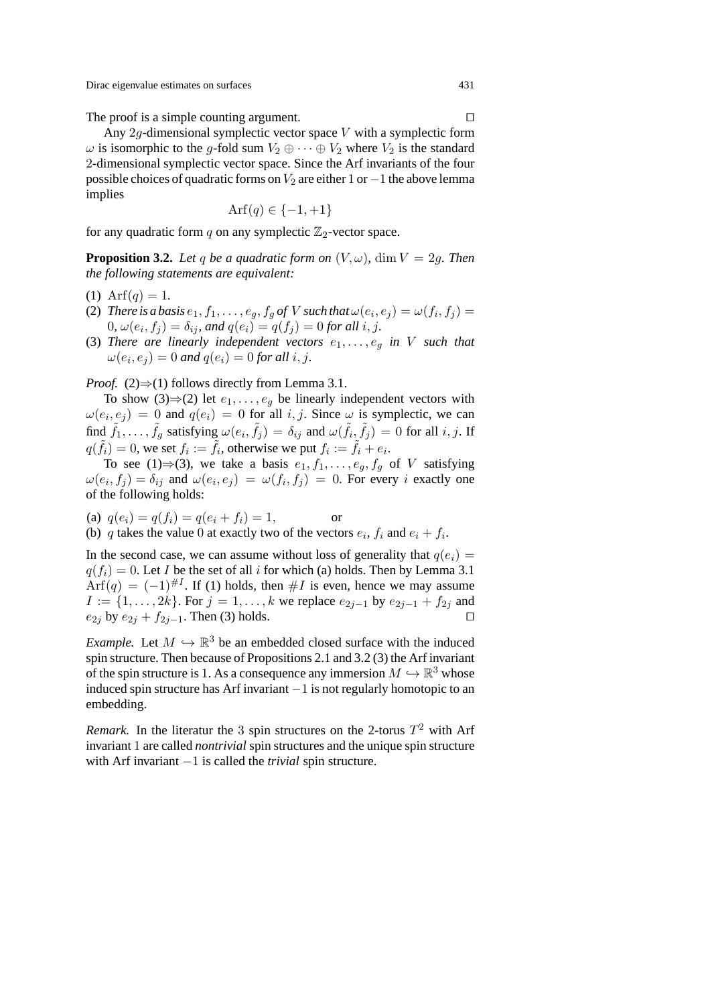The proof is a simple counting argument.

Any  $2q$ -dimensional symplectic vector space V with a symplectic form  $\omega$  is isomorphic to the q-fold sum  $V_2 \oplus \cdots \oplus V_2$  where  $V_2$  is the standard 2-dimensional symplectic vector space. Since the Arf invariants of the four possible choices of quadratic forms on  $V_2$  are either 1 or  $-1$  the above lemma implies

$$
\operatorname{Arf}(q) \in \{-1, +1\}
$$

for any quadratic form q on any symplectic  $\mathbb{Z}_2$ -vector space.

**Proposition 3.2.** Let q be a quadratic form on  $(V, \omega)$ , dim  $V = 2q$ . Then *the following statements are equivalent:*

- (1) Arf $(q)=1$ .
- (2) *There is a basis*  $e_1, f_1, \ldots, e_g, f_g$  *of V such that*  $\omega(e_i, e_j) = \omega(f_i, f_j)$  = 0,  $\omega(e_i, f_i) = \delta_{ij}$ , and  $q(e_i) = q(f_i) = 0$  for all i, j.
- (3) *There are linearly independent vectors*  $e_1, \ldots, e_n$  *in V such that*  $\omega(e_i, e_j) = 0$  and  $q(e_i) = 0$  for all i, j.

*Proof.* (2) $\Rightarrow$ (1) follows directly from Lemma 3.1.

To show (3)⇒(2) let  $e_1, \ldots, e_q$  be linearly independent vectors with  $\omega(e_i, e_j) = 0$  and  $q(e_i) = 0$  for all i, j. Since  $\omega$  is symplectic, we can find  $\tilde{f}_1,\ldots,\tilde{f}_q$  satisfying  $\omega(e_i,\tilde{f}_i) = \delta_{ij}$  and  $\omega(\tilde{f}_i,\tilde{f}_i) = 0$  for all i, j. If  $q(\tilde{f}_i)=0$ , we set  $f_i := \tilde{f}_i$ , otherwise we put  $f_i := \tilde{f}_i + e_i$ .

To see (1)⇒(3), we take a basis  $e_1, f_1, \ldots, e_g, f_g$  of V satisfying  $\omega(e_i, f_j) = \delta_{ij}$  and  $\omega(e_i, e_j) = \omega(f_i, f_j) = 0$ . For every i exactly one of the following holds:

(a)  $q(e_i) = q(f_i) = q(e_i + f_i) = 1$ , or (b) q takes the value 0 at exactly two of the vectors  $e_i$ ,  $f_i$  and  $e_i + f_i$ .

In the second case, we can assume without loss of generality that  $q(e_i)$  =  $q(f_i)=0$ . Let I be the set of all i for which (a) holds. Then by Lemma 3.1  $\text{Arf}(q) = (-1)^{\#I}$ . If (1) holds, then #I is even, hence we may assume  $I := \{1, \ldots, 2k\}$ . For  $j = 1, \ldots, k$  we replace  $e_{2j-1}$  by  $e_{2j-1} + f_{2j}$  and  $e_{2j}$  by  $e_{2j} + f_{2j-1}$ . Then (3) holds.

*Example.* Let  $M \hookrightarrow \mathbb{R}^3$  be an embedded closed surface with the induced spin structure. Then because of Propositions 2.1 and 3.2 (3) the Arf invariant of the spin structure is 1. As a consequence any immersion  $M \hookrightarrow \mathbb{R}^3$  whose induced spin structure has Arf invariant −1 is not regularly homotopic to an embedding.

*Remark.* In the literatur the 3 spin structures on the 2-torus  $T^2$  with Arf invariant 1 are called *nontrivial* spin structures and the unique spin structure with Arf invariant −1 is called the *trivial* spin structure.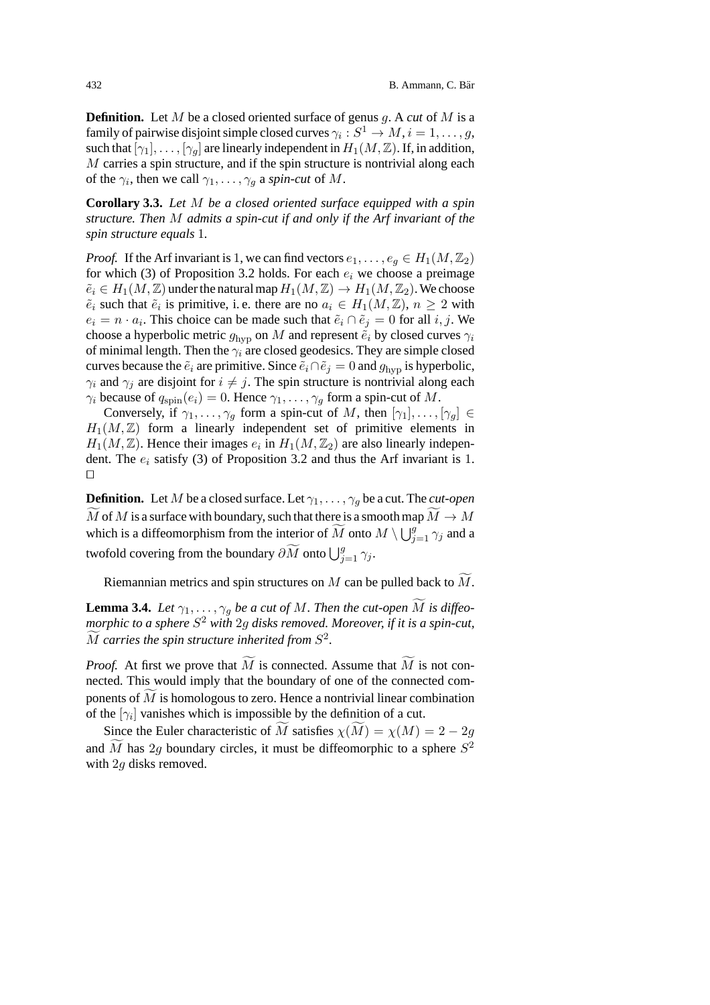**Definition.** Let M be a closed oriented surface of genus g. A *cut* of M is a family of pairwise disjoint simple closed curves  $\gamma_i : S^1 \to M, i = 1, \ldots, q$ , such that  $[\gamma_1], \ldots, [\gamma_q]$  are linearly independent in  $H_1(M,\mathbb{Z})$ . If, in addition,  $M$  carries a spin structure, and if the spin structure is nontrivial along each of the  $\gamma_i$ , then we call  $\gamma_1, \ldots, \gamma_q$  a *spin-cut* of M.

**Corollary 3.3.** *Let* M *be a closed oriented surface equipped with a spin structure. Then* M *admits a spin-cut if and only if the Arf invariant of the spin structure equals* 1*.*

*Proof.* If the Arf invariant is 1, we can find vectors  $e_1, \ldots, e_q \in H_1(M, \mathbb{Z}_2)$ for which (3) of Proposition 3.2 holds. For each  $e_i$  we choose a preimage  $\tilde{e}_i \in H_1(M, \mathbb{Z})$  under the natural map  $H_1(M, \mathbb{Z}) \to H_1(M, \mathbb{Z}_2)$ . We choose  $\tilde{e}_i$  such that  $\tilde{e}_i$  is primitive, i.e. there are no  $a_i \in H_1(M, \mathbb{Z})$ ,  $n \geq 2$  with  $e_i = n \cdot a_i$ . This choice can be made such that  $\tilde{e}_i \cap \tilde{e}_j = 0$  for all  $i, j$ . We choose a hyperbolic metric  $g_{\text{hvp}}$  on M and represent  $\tilde{e}_i$  by closed curves  $\gamma_i$ of minimal length. Then the  $\gamma_i$  are closed geodesics. They are simple closed curves because the  $\tilde{e}_i$  are primitive. Since  $\tilde{e}_i \cap \tilde{e}_j = 0$  and  $g_{\text{hvp}}$  is hyperbolic,  $\gamma_i$  and  $\gamma_j$  are disjoint for  $i \neq j$ . The spin structure is nontrivial along each  $\gamma_i$  because of  $q_{spin}(e_i)=0$ . Hence  $\gamma_1,\ldots,\gamma_g$  form a spin-cut of M.

Conversely, if  $\gamma_1,\ldots,\gamma_q$  form a spin-cut of M, then  $[\gamma_1],\ldots,[\gamma_q] \in$  $H_1(M,\mathbb{Z})$  form a linearly independent set of primitive elements in  $H_1(M,\mathbb{Z})$ . Hence their images  $e_i$  in  $H_1(M,\mathbb{Z}_2)$  are also linearly independent. The  $e_i$  satisfy (3) of Proposition 3.2 and thus the Arf invariant is 1.  $\Box$ 

**Definition.** Let M be a closed surface. Let  $\gamma_1, \ldots, \gamma_q$  be a cut. The *cut-open*  $M$  of  $M$  is a surface with boundary, such that there is a smooth map  $M \to M$ which is a diffeomorphism from the interior of  $\widetilde{M}$  onto  $M \setminus \bigcup_{j=1}^{g} \gamma_j$  and a twofold covering from the boundary  $\partial \widetilde{M}$  onto  $\bigcup_{j=1}^g \gamma_j$ .

Riemannian metrics and spin structures on  $M$  can be pulled back to  $M$ .

**Lemma 3.4.** *Let*  $\gamma_1, \ldots, \gamma_g$  *be a cut of M*. *Then the cut-open M is diffeomorphic to a sphere*  $S^2$  *with* 2q *disks removed. Moreover, if it is a spin-cut,*  $\widetilde{M}$  carries the spin structure inherited from  $S^2$ .

*Proof.* At first we prove that M is connected. Assume that M is not connected. This would imply that the boundary of one of the connected components of M is homologous to zero. Hence a nontrivial linear combination of the  $[\gamma_i]$  vanishes which is impossible by the definition of a cut.

Since the Euler characteristic of M satisfies  $\chi(M) = \chi(M) = 2 - 2g$ and  $\tilde{M}$  has 2g boundary circles, it must be diffeomorphic to a sphere  $S^2$ with 2*g* disks removed.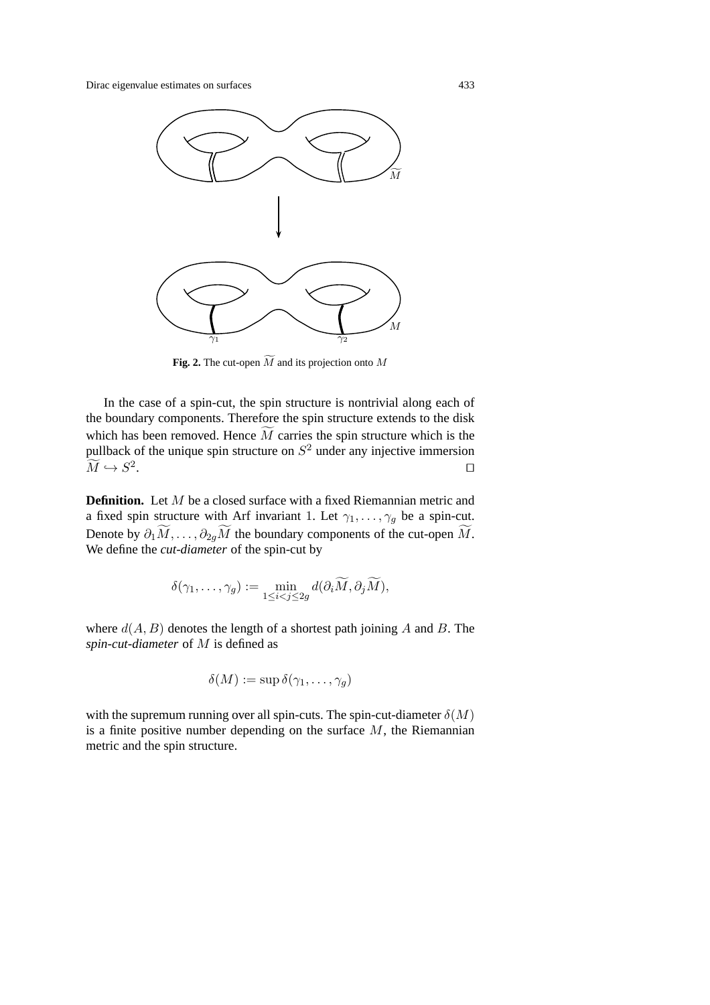

**Fig. 2.** The cut-open  $\widetilde{M}$  and its projection onto M

In the case of a spin-cut, the spin structure is nontrivial along each of the boundary components. Therefore the spin structure extends to the disk which has been removed. Hence  $M$  carries the spin structure which is the pullback of the unique spin structure on  $S^2$  under any injective immersion  $\widetilde{M} \hookrightarrow S^2$  $M \hookrightarrow S^2$ .

**Definition.** Let M be a closed surface with a fixed Riemannian metric and a fixed spin structure with Arf invariant 1. Let  $\gamma_1, \ldots, \gamma_q$  be a spin-cut. Denote by  $\partial_1 M, \dots, \partial_{2g} M$  the boundary components of the cut-open M. We define the *cut-diameter* of the spin-cut by

$$
\delta(\gamma_1,\ldots,\gamma_g) := \min_{1 \leq i < j \leq 2g} d(\partial_i \widetilde{M}, \partial_j \widetilde{M}),
$$

where  $d(A, B)$  denotes the length of a shortest path joining A and B. The *spin-cut-diameter* of M is defined as

$$
\delta(M) := \sup \delta(\gamma_1, \ldots, \gamma_g)
$$

with the supremum running over all spin-cuts. The spin-cut-diameter  $\delta(M)$ is a finite positive number depending on the surface  $M$ , the Riemannian metric and the spin structure.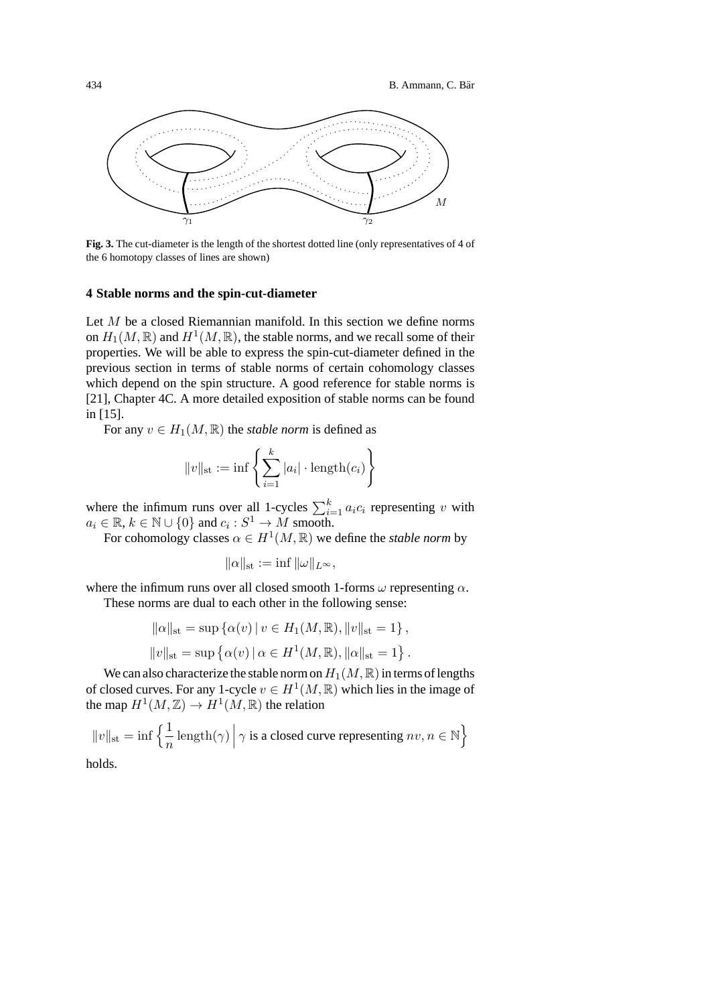

**Fig. 3.** The cut-diameter is the length of the shortest dotted line (only representatives of 4 of the 6 homotopy classes of lines are shown)

#### **4 Stable norms and the spin-cut-diameter**

Let *M* be a closed Riemannian manifold. In this section we define norms on  $H_1(M, \mathbb{R})$  and  $H^1(M, \mathbb{R})$ , the stable norms, and we recall some of their properties. We will be able to express the spin-cut-diameter defined in the previous section in terms of stable norms of certain cohomology classes which depend on the spin structure. A good reference for stable norms is [21], Chapter 4C. A more detailed exposition of stable norms can be found in [15].

For any  $v \in H_1(M, \mathbb{R})$  the *stable norm* is defined as

$$
||v||_{\rm st} := \inf \left\{ \sum_{i=1}^{k} |a_i| \cdot \mathrm{length}(c_i) \right\}
$$

where the infimum runs over all 1-cycles  $\sum_{i=1}^{k} a_i c_i$  representing v with  $a_i \in \mathbb{R}, k \in \mathbb{N} \cup \{0\}$  and  $c_i : S^1 \to M$  smooth.

For cohomology classes  $\alpha \in H^1(M, \mathbb{R})$  we define the *stable norm* by

$$
\|\alpha\|_{\rm st} := \inf \|\omega\|_{L^\infty},
$$

where the infimum runs over all closed smooth 1-forms  $\omega$  representing  $\alpha$ .

These norms are dual to each other in the following sense:

$$
\|\alpha\|_{st} = \sup \{ \alpha(v) \mid v \in H_1(M, \mathbb{R}), \|v\|_{st} = 1 \},
$$
  

$$
\|v\|_{st} = \sup \{ \alpha(v) \mid \alpha \in H^1(M, \mathbb{R}), \|\alpha\|_{st} = 1 \}.
$$

We can also characterize the stable norm on  $H_1(M, \mathbb{R})$  in terms of lengths of closed curves. For any 1-cycle  $v \in H^1(M, \mathbb{R})$  which lies in the image of the map  $H^1(M,\mathbb{Z}) \to H^1(M,\mathbb{R})$  the relation

$$
||v||_{\text{st}} = \inf \left\{ \frac{1}{n} \operatorname{length}(\gamma) \, \middle| \, \gamma \text{ is a closed curve representing } nv, n \in \mathbb{N} \right\}
$$

holds.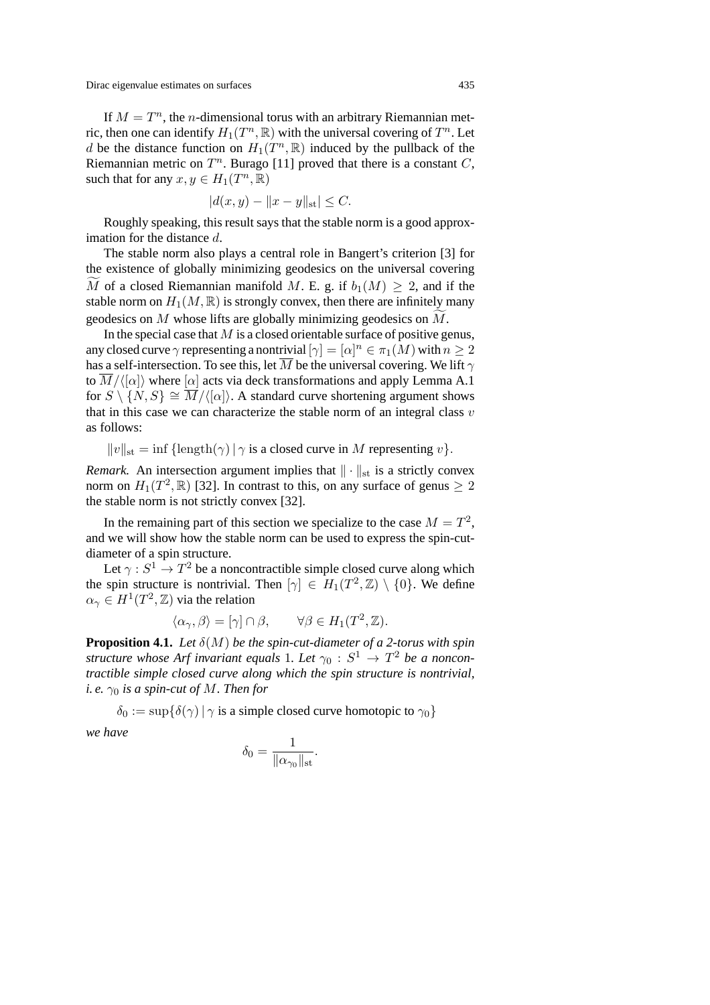If  $M = T<sup>n</sup>$ , the *n*-dimensional torus with an arbitrary Riemannian metric, then one can identify  $H_1(T^n, \mathbb{R})$  with the universal covering of  $T^n$ . Let d be the distance function on  $H_1(T^n, \mathbb{R})$  induced by the pullback of the Riemannian metric on  $T^n$ . Burago [11] proved that there is a constant C, such that for any  $x, y \in H_1(T^n, \mathbb{R})$ 

$$
|d(x, y) - ||x - y||_{\text{st}}| \le C.
$$

Roughly speaking, this result says that the stable norm is a good approximation for the distance d.

The stable norm also plays a central role in Bangert's criterion [3] for the existence of globally minimizing geodesics on the universal covering M of a closed Riemannian manifold M. E. g. if  $b_1(M) \geq 2$ , and if the stable norm on  $H_1(M, \mathbb{R})$  is strongly convex, then there are infinitely many geodesics on M whose lifts are globally minimizing geodesics on M .

In the special case that  $M$  is a closed orientable surface of positive genus, any closed curve  $\gamma$  representing a nontrivial  $[\gamma]=[\alpha]^n\in \pi_1(M)$  with  $n\geq 2$ has a self-intersection. To see this, let  $\overline{M}$  be the universal covering. We lift  $\gamma$ to  $\overline{M}/\langle\{\alpha\}\rangle$  where  $\{\alpha\}$  acts via deck transformations and apply Lemma A.1 for  $S \setminus \{N, S\} \cong \overline{M}/({\alpha})$ . A standard curve shortening argument shows that in this case we can characterize the stable norm of an integral class  $v$ as follows:

 $||v||_{st} = \inf \{ \text{length}(\gamma) | \gamma \text{ is a closed curve in } M \text{ representing } v \}.$ 

*Remark.* An intersection argument implies that  $\|\cdot\|_{st}$  is a strictly convex norm on  $H_1(T^2, \mathbb{R})$  [32]. In contrast to this, on any surface of genus  $\geq 2$ the stable norm is not strictly convex [32].

In the remaining part of this section we specialize to the case  $M = T<sup>2</sup>$ , and we will show how the stable norm can be used to express the spin-cutdiameter of a spin structure.

Let  $\gamma : S^1 \to T^2$  be a noncontractible simple closed curve along which the spin structure is nontrivial. Then  $[\gamma] \in H_1(T^2, \mathbb{Z}) \setminus \{0\}$ . We define  $\alpha_{\gamma} \in H^1(T^2, \mathbb{Z})$  via the relation

$$
\langle \alpha_{\gamma}, \beta \rangle = [\gamma] \cap \beta, \qquad \forall \beta \in H_1(T^2, \mathbb{Z}).
$$

**Proposition 4.1.** *Let*  $\delta(M)$  *be the spin-cut-diameter of a 2-torus with spin structure whose Arf invariant equals 1. Let*  $\gamma_0$  :  $S^1 \rightarrow T^2$  *be a noncontractible simple closed curve along which the spin structure is nontrivial, i. e.*  $\gamma_0$  *is a spin-cut of M. Then for* 

 $\delta_0 := \sup \{ \delta(\gamma) \mid \gamma \text{ is a simple closed curve homotopic to } \gamma_0 \}$ 

*we have*

$$
\delta_0 = \frac{1}{\|\alpha_{\gamma_0}\|_{\rm st}}.
$$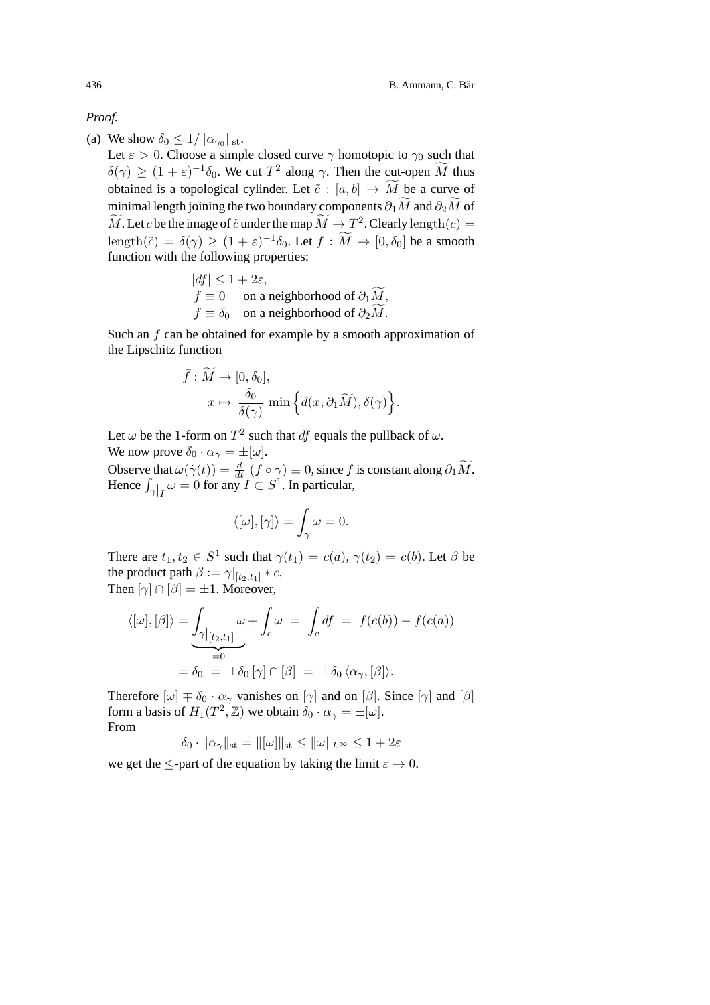#### *Proof.*

(a) We show  $\delta_0 \leq 1/||\alpha_{\gamma_0}||_{st}$ .

Let  $\varepsilon > 0$ . Choose a simple closed curve  $\gamma$  homotopic to  $\gamma_0$  such that  $\delta(\gamma) \ge (1 + \varepsilon)^{-1} \delta_0$ . We cut  $T^2$  along  $\gamma$ . Then the cut-open  $\overline{M}$  thus obtained is a topological cylinder. Let  $\tilde{c} : [a, b] \to M$  be a curve of minimal length joining the two boundary components  $\partial_1 M$  and  $\partial_2 M$  of M. Let c be the image of  $\tilde{c}$  under the map  $\tilde{M} \to T^2$ . Clearly length $(c) =$ length( $\tilde{c}$ ) =  $\delta(\gamma) \ge (1 + \varepsilon)^{-1} \delta_0$ . Let  $f : \tilde{M} \to [0, \delta_0]$  be a smooth function with the following properties:

$$
|df| \le 1 + 2\varepsilon,
$$
  
\n $f \equiv 0$  on a neighborhood of  $\partial_1 \widetilde{M}$ ,  
\n $f \equiv \delta_0$  on a neighborhood of  $\partial_2 \widetilde{M}$ .

Such an  $f$  can be obtained for example by a smooth approximation of the Lipschitz function

$$
\bar{f}: \widetilde{M} \to [0, \delta_0],
$$
  

$$
x \mapsto \frac{\delta_0}{\delta(\gamma)} \min \left\{ d(x, \partial_1 \widetilde{M}), \delta(\gamma) \right\}.
$$

Let  $\omega$  be the 1-form on  $T^2$  such that df equals the pullback of  $\omega$ . We now prove  $\delta_0 \cdot \alpha_{\gamma} = \pm [\omega]$ .

Observe that  $\omega(\dot{\gamma}(t)) = \frac{d}{dt}(f \circ \gamma) \equiv 0$ , since f is constant along  $\partial_1 \widetilde{M}$ . Hence  $\int_{\gamma|I} \omega = 0$  for any  $I \subset S^1$ . In particular,

$$
\langle [\omega], [\gamma] \rangle = \int_{\gamma} \omega = 0.
$$

There are  $t_1, t_2 \in S^1$  such that  $\gamma(t_1) = c(a), \gamma(t_2) = c(b)$ . Let  $\beta$  be the product path  $\beta := \gamma|_{[t_2,t_1]} * c$ . Then  $[\gamma] \cap [\beta] = \pm 1$ . Moreover,

$$
\langle [\omega], [\beta] \rangle = \underbrace{\int_{\gamma|_{[t_2,t_1]}} \omega}_{=0} + \int_c \omega = \int_c df = f(c(b)) - f(c(a))
$$

$$
= \delta_0 = \pm \delta_0 [\gamma] \cap [\beta] = \pm \delta_0 \langle \alpha_\gamma, [\beta] \rangle.
$$

Therefore  $[\omega] \neq \delta_0 \cdot \alpha_\gamma$  vanishes on  $[\gamma]$  and on  $[\beta]$ . Since  $[\gamma]$  and  $[\beta]$ form a basis of  $H_1(T^2, \mathbb{Z})$  we obtain  $\delta_0 \cdot \alpha_\gamma = \pm [\omega]$ . From

$$
\delta_0 \cdot \|\alpha_\gamma\|_{\rm st} = \|[\omega]\|_{\rm st} \le \|\omega\|_{L^\infty} \le 1 + 2\varepsilon
$$

we get the  $\leq$ -part of the equation by taking the limit  $\varepsilon \to 0$ .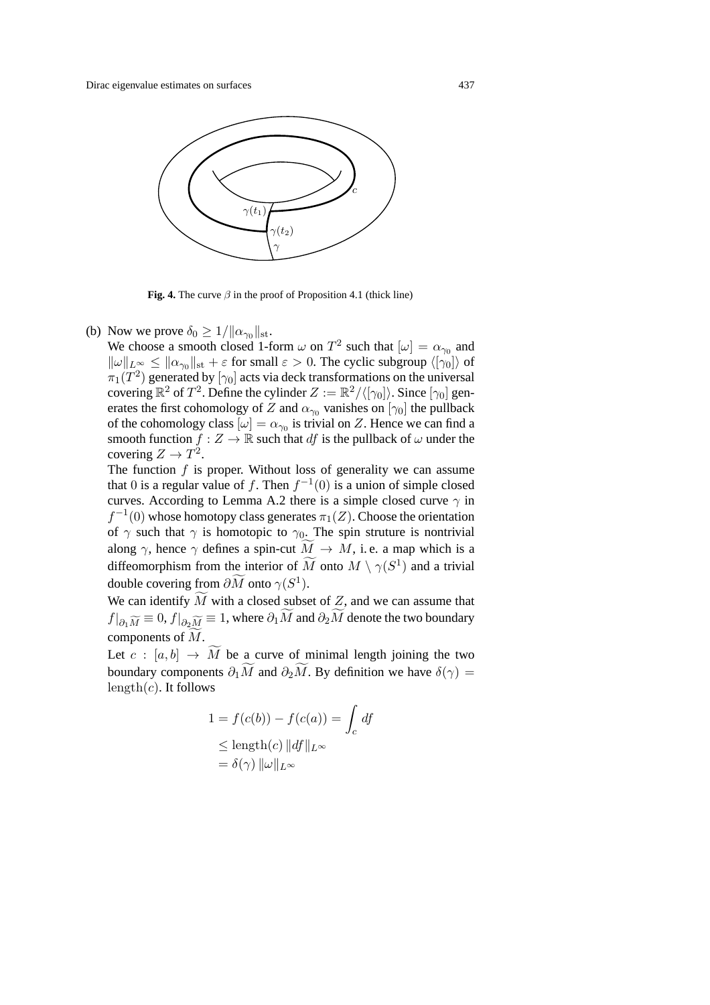

**Fig. 4.** The curve  $\beta$  in the proof of Proposition 4.1 (thick line)

(b) Now we prove  $\delta_0 \geq 1/||\alpha_{\gamma_0}||_{\rm st}$ .

We choose a smooth closed 1-form  $\omega$  on  $T^2$  such that  $[\omega] = \alpha_{\gamma_0}$  and  $\|\omega\|_{L^{\infty}} \leq \|\alpha_{\gamma_0}\|_{st} + \varepsilon$  for small  $\varepsilon > 0$ . The cyclic subgroup  $\langle |\gamma_0| \rangle$  of  $\pi_1(T^2)$  generated by  $[\gamma_0]$  acts via deck transformations on the universal covering  $\mathbb{R}^2$  of  $T^2$ . Define the cylinder  $Z := \mathbb{R}^2 / \langle |\gamma_0| \rangle$ . Since  $|\gamma_0|$  generates the first cohomology of Z and  $\alpha_{\gamma_0}$  vanishes on  $[\gamma_0]$  the pullback of the cohomology class  $[\omega] = \alpha_{\gamma_0}$  is trivial on Z. Hence we can find a smooth function  $f : Z \to \mathbb{R}$  such that df is the pullback of  $\omega$  under the covering  $Z \to T^2$ .

The function  $f$  is proper. Without loss of generality we can assume that 0 is a regular value of f. Then  $f^{-1}(0)$  is a union of simple closed curves. According to Lemma A.2 there is a simple closed curve  $\gamma$  in  $f^{-1}(0)$  whose homotopy class generates  $\pi_1(Z)$ . Choose the orientation of  $\gamma$  such that  $\gamma$  is homotopic to  $\gamma_0$ . The spin struture is nontrivial along  $\gamma$ , hence  $\gamma$  defines a spin-cut  $M \to M$ , i.e. a map which is a diffeomorphism from the interior of M onto  $M \setminus \gamma(S^1)$  and a trivial double covering from  $\partial M$  onto  $\gamma(S^1)$ .

We can identify M with a closed subset of  $Z$ , and we can assume that  $f|_{\partial_1 \widetilde{M}} \equiv 0, f|_{\partial_2 \widetilde{M}} \equiv 1,$  where  $\partial_1 M$  and  $\partial_2 M$  denote the two boundary components of M .

Let  $c : [a, b] \rightarrow M$  be a curve of minimal length joining the two boundary components  $\partial_1 M$  and  $\partial_2 M$ . By definition we have  $\delta(\gamma) =$  $length(c)$ . It follows

$$
1 = f(c(b)) - f(c(a)) = \int_c df
$$
  
\n
$$
\leq \text{length}(c) ||df||_{L^{\infty}}
$$
  
\n
$$
= \delta(\gamma) ||\omega||_{L^{\infty}}
$$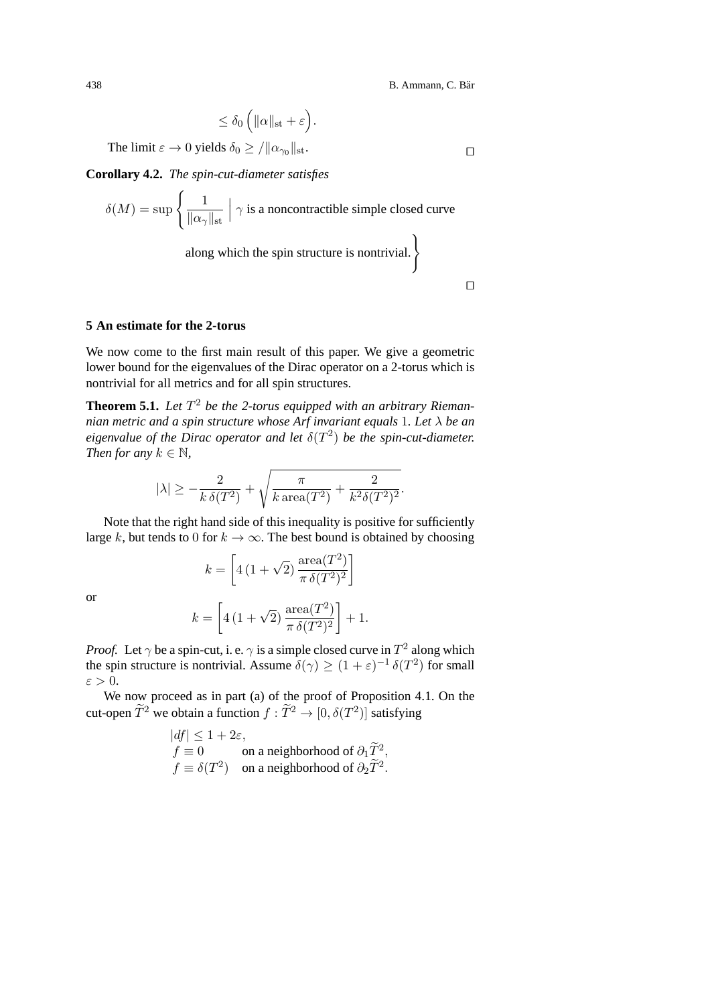$$
\leq \delta_0 \left( \|\alpha\|_{st} + \varepsilon \right).
$$

The limit  $\varepsilon \to 0$  yields  $\delta_0 \geq / ||\alpha_{\gamma_0}||_{\text{st}}$ .

**Corollary 4.2.** *The spin-cut-diameter satisfies*

$$
\delta(M) = \sup \left\{ \frac{1}{\|\alpha_{\gamma}\|_{\text{st}}} \middle| \gamma \text{ is a noncontractible simple closed curve}
$$
  
along which the spin structure is nontrivial.

 $\Box$ 

#### **5 An estimate for the 2-torus**

We now come to the first main result of this paper. We give a geometric lower bound for the eigenvalues of the Dirac operator on a 2-torus which is nontrivial for all metrics and for all spin structures.

**Theorem 5.1.** Let  $T^2$  be the 2-torus equipped with an arbitrary Rieman*nian metric and a spin structure whose Arf invariant equals* 1*. Let* λ *be an eigenvalue of the Dirac operator and let*  $\delta(T^2)$  *be the spin-cut-diameter. Then for any*  $k \in \mathbb{N}$ ,

$$
|\lambda|\geq -\frac{2}{k\,\delta(T^2)}+\sqrt{\frac{\pi}{k\,\mathrm{area}(T^2)}+\frac{2}{k^2\delta(T^2)^2}}.
$$

Note that the right hand side of this inequality is positive for sufficiently large k, but tends to 0 for  $k \to \infty$ . The best bound is obtained by choosing

$$
k = \left[4\left(1+\sqrt{2}\right)\frac{\operatorname{area}(T^2)}{\pi\,\delta(T^2)^2}\right]
$$

or

$$
k = \left[4\left(1+\sqrt{2}\right)\frac{\operatorname{area}(T^2)}{\pi\,\delta(T^2)^2}\right] + 1.
$$

*Proof.* Let  $\gamma$  be a spin-cut, i. e.  $\gamma$  is a simple closed curve in  $T^2$  along which the spin structure is nontrivial. Assume  $\delta(\gamma) > (1 + \varepsilon)^{-1} \delta(T^2)$  for small  $\varepsilon > 0$ .

We now proceed as in part (a) of the proof of Proposition 4.1. On the cut-open  $\widetilde{T}^2$  we obtain a function  $f : \widetilde{T}^2 \to [0, \delta(T^2)]$  satisfying

$$
|df| \le 1 + 2\varepsilon,
$$
  
\n $f \equiv 0$  on a neighborhood of  $\partial_1 \widetilde{T}^2$ ,  
\n $f \equiv \delta(T^2)$  on a neighborhood of  $\partial_2 \widetilde{T}^2$ .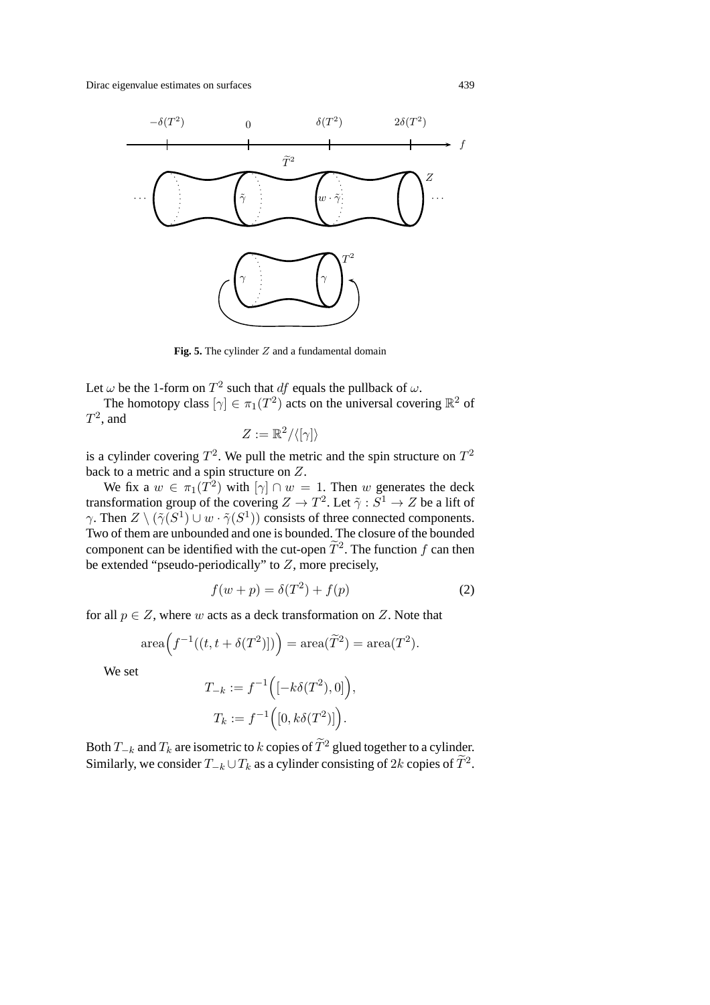

**Fig. 5.** The cylinder Z and a fundamental domain

Let  $\omega$  be the 1-form on  $T^2$  such that df equals the pullback of  $\omega$ .

The homotopy class  $[\gamma] \in \pi_1(T^2)$  acts on the universal covering  $\mathbb{R}^2$  of  $T^2$ , and

$$
Z:=\mathbb{R}^2/\langle[\gamma]\rangle
$$

is a cylinder covering  $T^2$ . We pull the metric and the spin structure on  $T^2$ back to a metric and a spin structure on Z.

We fix a  $w \in \pi_1(T^2)$  with  $[\gamma] \cap w = 1$ . Then w generates the deck transformation group of the covering  $Z \to T^2$ . Let  $\tilde{\gamma}: \tilde{S}^1 \to Z$  be a lift of  $\gamma$ . Then  $Z \setminus (\tilde{\gamma}(S^1) \cup w \cdot \tilde{\gamma}(S^1))$  consists of three connected components. Two of them are unbounded and one is bounded. The closure of the bounded component can be identified with the cut-open  $\tilde{T}^2$ . The function f can then be extended "pseudo-periodically" to  $Z$ , more precisely,

$$
f(w+p) = \delta(T^2) + f(p) \tag{2}
$$

for all  $p \in Z$ , where w acts as a deck transformation on Z. Note that

$$
\operatorname{area}(\mathit{f}^{-1}((t, t + \delta(T^2)])) = \operatorname{area}(\widetilde{T}^2) = \operatorname{area}(T^2).
$$

We set

$$
T_{-k} := f^{-1}\Big([{-k\delta(T^2),0}]\Big),
$$
  

$$
T_k := f^{-1}\Big([0,k\delta(T^2)]\Big).
$$

Both  $T_{-k}$  and  $T_k$  are isometric to k copies of  $\tilde{T}^2$  glued together to a cylinder. Similarly, we consider  $T_{-k} \cup T_k$  as a cylinder consisting of 2k copies of  $\tilde{T}^2$ .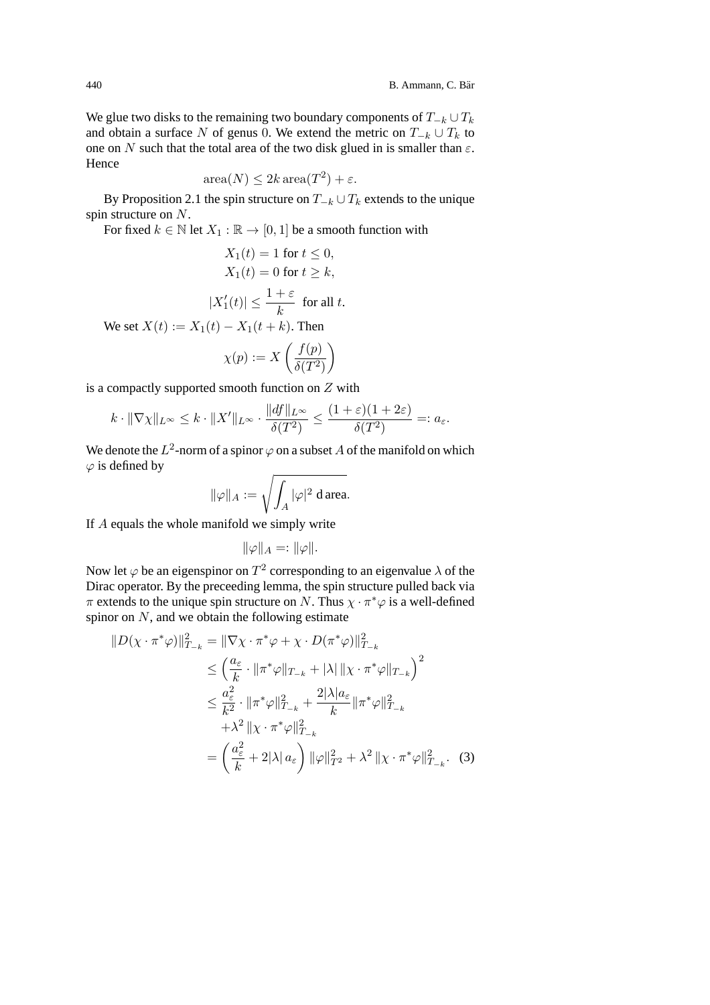We glue two disks to the remaining two boundary components of  $T_{-k} \cup T_k$ and obtain a surface N of genus 0. We extend the metric on  $T_{-k} \cup T_k$  to one on N such that the total area of the two disk glued in is smaller than  $\varepsilon$ . Hence

$$
\operatorname{area}(N) \le 2k \operatorname{area}(T^2) + \varepsilon.
$$

By Proposition 2.1 the spin structure on  $T_{-k} \cup T_k$  extends to the unique spin structure on N.

For fixed  $k \in \mathbb{N}$  let  $X_1 : \mathbb{R} \to [0, 1]$  be a smooth function with

$$
X_1(t) = 1 \text{ for } t \le 0,
$$
  
\n
$$
X_1(t) = 0 \text{ for } t \ge k,
$$
  
\n
$$
|X'_1(t)| \le \frac{1+\varepsilon}{k} \text{ for all } t.
$$

We set  $X(t) := X_1(t) - X_1(t + k)$ . Then

$$
\chi(p) := X\left(\frac{f(p)}{\delta(T^2)}\right)
$$

is a compactly supported smooth function on  $Z$  with

$$
k \cdot ||\nabla \chi||_{L^{\infty}} \leq k \cdot ||X'||_{L^{\infty}} \cdot \frac{||df||_{L^{\infty}}}{\delta(T^2)} \leq \frac{(1+\varepsilon)(1+2\varepsilon)}{\delta(T^2)} =: a_{\varepsilon}.
$$

We denote the  $L^2$ -norm of a spinor  $\varphi$  on a subset A of the manifold on which  $\varphi$  is defined by

$$
\|\varphi\|_A:=\sqrt{\int_A |\varphi|^2 \text{ d area}}.
$$

If A equals the whole manifold we simply write

$$
\|\varphi\|_A=:\|\varphi\|.
$$

Now let  $\varphi$  be an eigenspinor on  $T^2$  corresponding to an eigenvalue  $\lambda$  of the Dirac operator. By the preceeding lemma, the spin structure pulled back via  $\pi$  extends to the unique spin structure on N. Thus  $\chi \cdot \pi^* \varphi$  is a well-defined spinor on  $N$ , and we obtain the following estimate

$$
||D(\chi \cdot \pi^* \varphi)||_{T_{-k}}^2 = ||\nabla \chi \cdot \pi^* \varphi + \chi \cdot D(\pi^* \varphi)||_{T_{-k}}^2
$$
  
\n
$$
\leq \left(\frac{a_{\varepsilon}}{k} \cdot ||\pi^* \varphi||_{T_{-k}} + |\lambda| ||\chi \cdot \pi^* \varphi||_{T_{-k}}\right)^2
$$
  
\n
$$
\leq \frac{a_{\varepsilon}^2}{k^2} \cdot ||\pi^* \varphi||_{T_{-k}}^2 + \frac{2|\lambda|a_{\varepsilon}}{k} ||\pi^* \varphi||_{T_{-k}}^2
$$
  
\n
$$
+ \lambda^2 ||\chi \cdot \pi^* \varphi||_{T_{-k}}^2
$$
  
\n
$$
= \left(\frac{a_{\varepsilon}^2}{k} + 2|\lambda| a_{\varepsilon}\right) ||\varphi||_{T^2}^2 + \lambda^2 ||\chi \cdot \pi^* \varphi||_{T_{-k}}^2. (3)
$$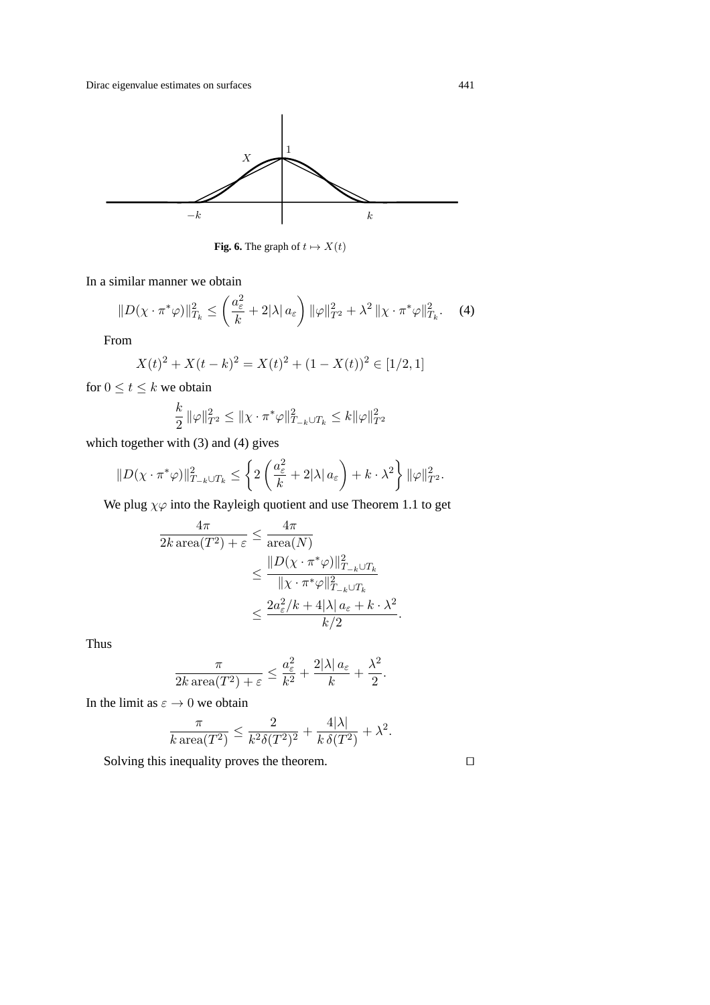

**Fig. 6.** The graph of  $t \mapsto X(t)$ 

In a similar manner we obtain

$$
||D(\chi \cdot \pi^* \varphi)||_{T_k}^2 \le \left(\frac{a_{\varepsilon}^2}{k} + 2|\lambda| \, a_{\varepsilon}\right) ||\varphi||_{T^2}^2 + \lambda^2 ||\chi \cdot \pi^* \varphi||_{T_k}^2. \tag{4}
$$

From

$$
X(t)^{2} + X(t-k)^{2} = X(t)^{2} + (1-X(t))^{2} \in [1/2, 1]
$$

for  $0 \le t \le k$  we obtain

$$
\frac{k}{2} \|\varphi\|_{T^2}^2 \le \|\chi \cdot \pi^* \varphi\|_{T_{-k} \cup T_k}^2 \le k \|\varphi\|_{T^2}^2
$$

which together with (3) and (4) gives

$$
||D(\chi \cdot \pi^* \varphi)||_{T_{-k} \cup T_k}^2 \le \left\{ 2\left(\frac{a_{\varepsilon}^2}{k} + 2|\lambda| \, a_{\varepsilon}\right) + k \cdot \lambda^2 \right\} ||\varphi||_{T^2}^2.
$$

We plug  $\chi\varphi$  into the Rayleigh quotient and use Theorem 1.1 to get

$$
\frac{4\pi}{2k \operatorname{area}(T^2) + \varepsilon} \le \frac{4\pi}{\operatorname{area}(N)}
$$
  

$$
\le \frac{\|D(\chi \cdot \pi^*\varphi)\|_{T_{-k} \cup T_k}^2}{\|\chi \cdot \pi^*\varphi\|_{T_{-k} \cup T_k}^2}
$$
  

$$
\le \frac{2a_{\varepsilon}^2/k + 4|\lambda| a_{\varepsilon} + k \cdot \lambda^2}{k/2}.
$$

Thus

$$
\frac{\pi}{2k \operatorname{area}(T^2) + \varepsilon} \le \frac{a_{\varepsilon}^2}{k^2} + \frac{2|\lambda| \, a_{\varepsilon}}{k} + \frac{\lambda^2}{2}.
$$

In the limit as  $\varepsilon \to 0$  we obtain

$$
\frac{\pi}{k \operatorname{area}(T^2)} \le \frac{2}{k^2 \delta(T^2)^2} + \frac{4|\lambda|}{k \delta(T^2)} + \lambda^2.
$$

Solving this inequality proves the theorem.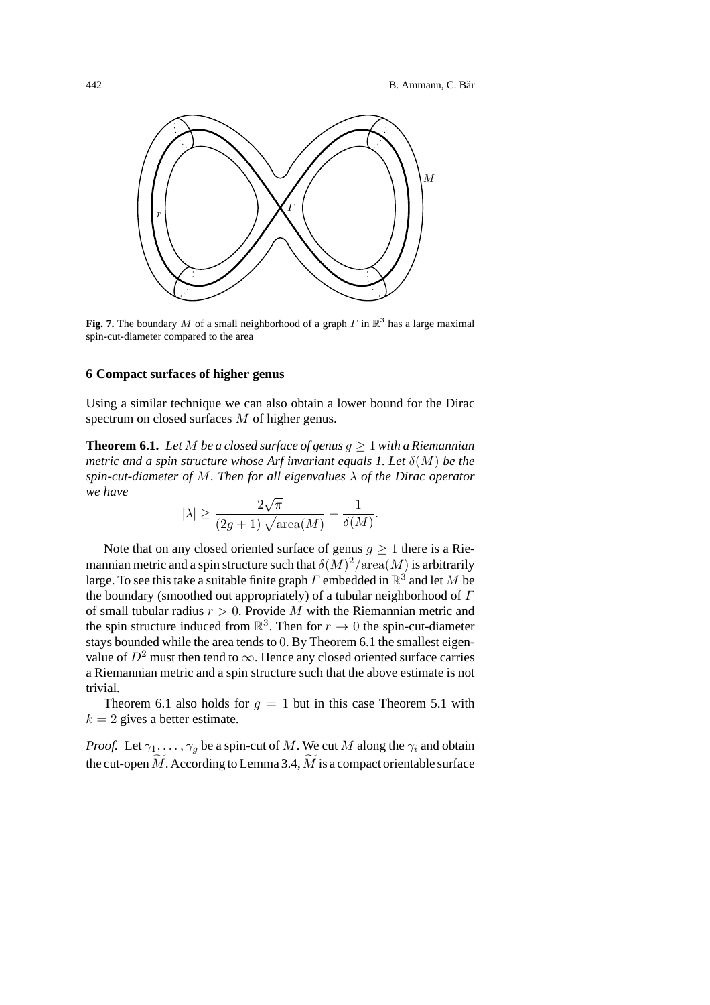

**Fig. 7.** The boundary M of a small neighborhood of a graph  $\Gamma$  in  $\mathbb{R}^3$  has a large maximal spin-cut-diameter compared to the area

#### **6 Compact surfaces of higher genus**

Using a similar technique we can also obtain a lower bound for the Dirac spectrum on closed surfaces M of higher genus.

**Theorem 6.1.** Let M be a closed surface of genus  $q > 1$  with a Riemannian *metric and a spin structure whose Arf invariant equals 1. Let* δ(M) *be the spin-cut-diameter of* M*. Then for all eigenvalues* λ *of the Dirac operator we have*

$$
|\lambda| \ge \frac{2\sqrt{\pi}}{(2g+1)\sqrt{\text{area}(M)}} - \frac{1}{\delta(M)}.
$$

Note that on any closed oriented surface of genus  $q > 1$  there is a Riemannian metric and a spin structure such that  $\delta(M)^2/\text{area}(M)$  is arbitrarily large. To see this take a suitable finite graph  $\Gamma$  embedded in  $\mathbb{R}^3$  and let M be the boundary (smoothed out appropriately) of a tubular neighborhood of  $\Gamma$ of small tubular radius  $r > 0$ . Provide M with the Riemannian metric and the spin structure induced from  $\mathbb{R}^3$ . Then for  $r \to 0$  the spin-cut-diameter stays bounded while the area tends to 0. By Theorem 6.1 the smallest eigenvalue of  $D^2$  must then tend to  $\infty$ . Hence any closed oriented surface carries a Riemannian metric and a spin structure such that the above estimate is not trivial.

Theorem 6.1 also holds for  $g = 1$  but in this case Theorem 5.1 with  $k = 2$  gives a better estimate.

*Proof.* Let  $\gamma_1, \ldots, \gamma_g$  be a spin-cut of M. We cut M along the  $\gamma_i$  and obtain the cut-open  $M$ . According to Lemma 3.4,  $M$  is a compact orientable surface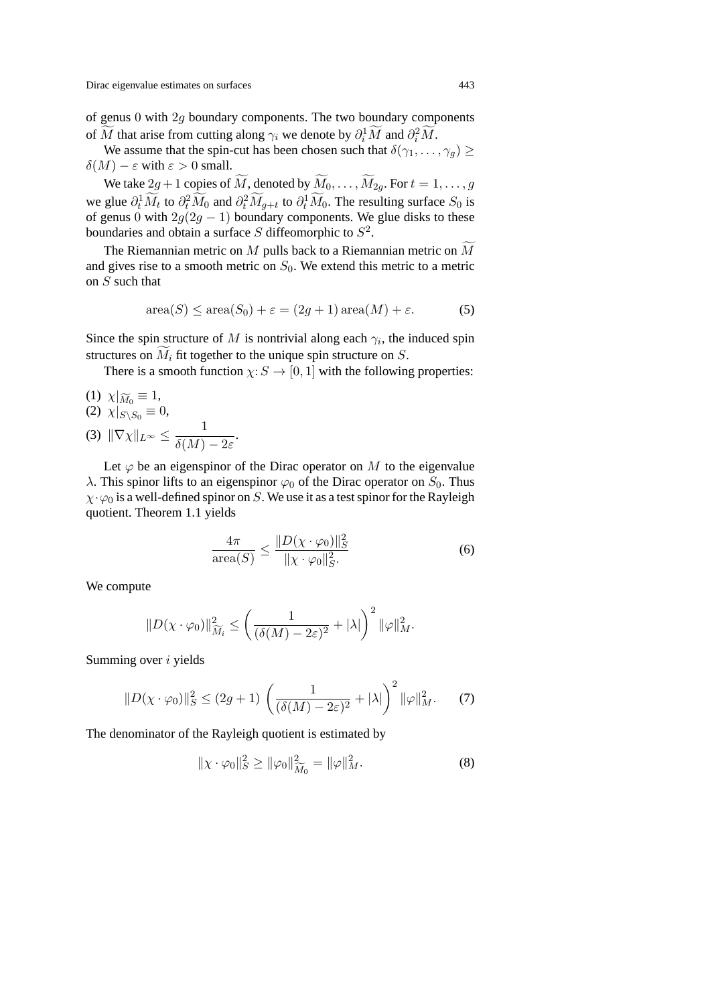of genus  $0$  with  $2q$  boundary components. The two boundary components of M that arise from cutting along  $\gamma_i$  we denote by  $\partial_i^1 M$  and  $\partial_i^2 M$ .

We assume that the spin-cut has been chosen such that  $\delta(\gamma_1,\ldots,\gamma_q) \geq$  $\delta(M) - \varepsilon$  with  $\varepsilon > 0$  small.

We take  $2g + 1$  copies of M, denoted by  $M_0, \ldots, M_{2g}$ . For  $t = 1, \ldots, g$ we glue  $\partial_t^1 \overline{M}_t$  to  $\partial_t^2 \overline{M}_0$  and  $\partial_t^2 \overline{M}_{g+t}$  to  $\partial_t^1 \overline{M}_0$ . The resulting surface  $S_0$  is of genus 0 with  $2g(2g - 1)$  boundary components. We glue disks to these boundaries and obtain a surface S diffeomorphic to  $S^2$ .

The Riemannian metric on  $M$  pulls back to a Riemannian metric on  $M$ and gives rise to a smooth metric on  $S_0$ . We extend this metric to a metric on S such that

$$
\operatorname{area}(S) \le \operatorname{area}(S_0) + \varepsilon = (2g + 1)\operatorname{area}(M) + \varepsilon. \tag{5}
$$

Since the spin structure of M is nontrivial along each  $\gamma_i$ , the induced spin structures on  $M_i$  fit together to the unique spin structure on  $S$ .

There is a smooth function  $\chi: S \to [0, 1]$  with the following properties:

(1) 
$$
\chi|_{\widetilde{M}_0} \equiv 1
$$
,  
\n(2)  $\chi|_{S \setminus S_0} \equiv 0$ ,  
\n(3)  $\|\nabla \chi\|_{L^{\infty}} \le \frac{1}{\delta(M) - 2\varepsilon}$ 

Let  $\varphi$  be an eigenspinor of the Dirac operator on M to the eigenvalue λ. This spinor lifts to an eigenspinor  $\varphi_0$  of the Dirac operator on  $S_0$ . Thus  $\chi \cdot \varphi_0$  is a well-defined spinor on S. We use it as a test spinor for the Rayleigh quotient. Theorem 1.1 yields

.

$$
\frac{4\pi}{\operatorname{area}(S)} \le \frac{\|D(\chi \cdot \varphi_0)\|_S^2}{\|\chi \cdot \varphi_0\|_S^2} \tag{6}
$$

We compute

$$
||D(\chi \cdot \varphi_0)||_{\widetilde{M}_i}^2 \le \left(\frac{1}{(\delta(M) - 2\varepsilon)^2} + |\lambda|\right)^2 ||\varphi||_M^2.
$$

Summing over i yields

$$
||D(\chi \cdot \varphi_0)||_S^2 \le (2g+1) \left(\frac{1}{(\delta(M)-2\varepsilon)^2} + |\lambda|\right)^2 ||\varphi||_M^2. \tag{7}
$$

The denominator of the Rayleigh quotient is estimated by

$$
\|\chi \cdot \varphi_0\|_S^2 \ge \|\varphi_0\|_{\widetilde{M}_0}^2 = \|\varphi\|_M^2. \tag{8}
$$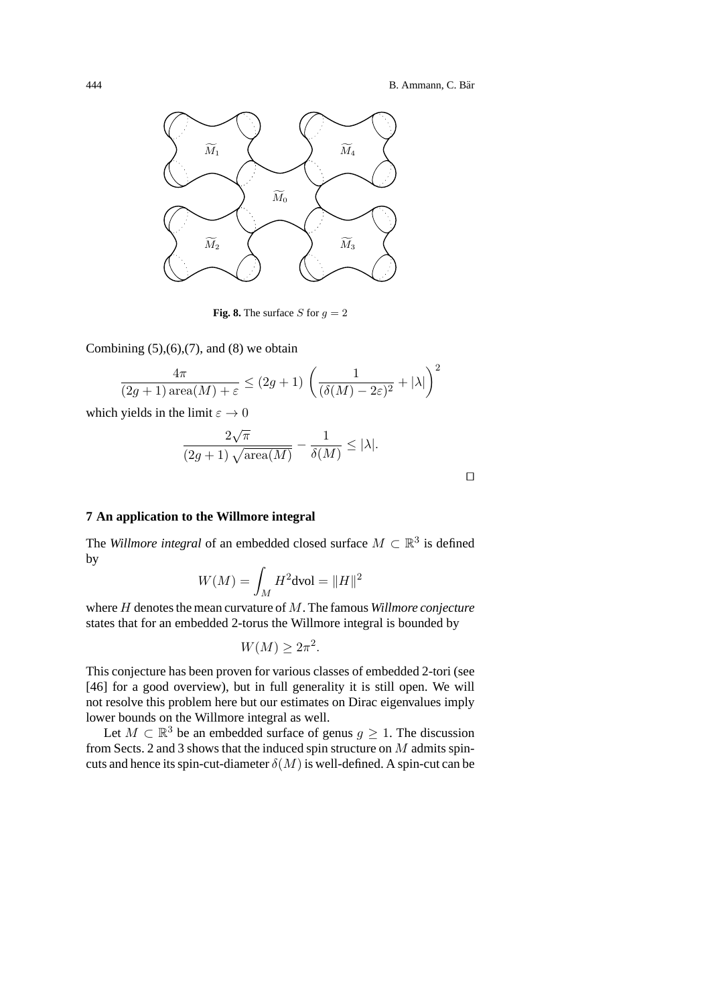

**Fig. 8.** The surface S for  $q = 2$ 

Combining  $(5)$ , $(6)$ , $(7)$ , and  $(8)$  we obtain

$$
\frac{4\pi}{(2g+1)\operatorname{area}(M)+\varepsilon} \le (2g+1)\left(\frac{1}{(\delta(M)-2\varepsilon)^2}+|\lambda|\right)^2
$$

which yields in the limit  $\varepsilon \to 0$ 

$$
\frac{2\sqrt{\pi}}{(2g+1)\sqrt{\mathrm{area}(M)}}-\frac{1}{\delta(M)}\leq |\lambda|.
$$

#### **7 An application to the Willmore integral**

The *Willmore integral* of an embedded closed surface  $M \subset \mathbb{R}^3$  is defined by

$$
W(M) = \int_M H^2 \text{dvol} = ||H||^2
$$

where H denotes the mean curvature of M. The famous *Willmore conjecture* states that for an embedded 2-torus the Willmore integral is bounded by

$$
W(M) \ge 2\pi^2.
$$

This conjecture has been proven for various classes of embedded 2-tori (see [46] for a good overview), but in full generality it is still open. We will not resolve this problem here but our estimates on Dirac eigenvalues imply lower bounds on the Willmore integral as well.

Let  $M \subset \mathbb{R}^3$  be an embedded surface of genus  $q \geq 1$ . The discussion from Sects. 2 and 3 shows that the induced spin structure on  $M$  admits spincuts and hence its spin-cut-diameter  $\delta(M)$  is well-defined. A spin-cut can be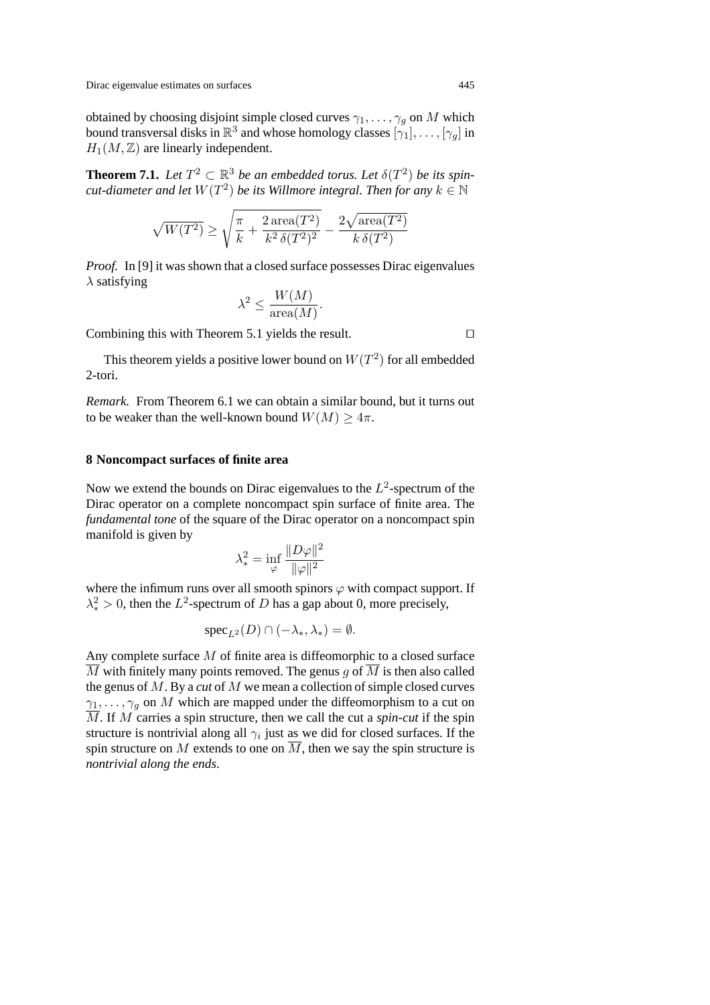obtained by choosing disjoint simple closed curves  $\gamma_1, \dots, \gamma_q$  on M which bound transversal disks in  $\mathbb{R}^3$  and whose homology classes  $[\gamma_1], \ldots, [\gamma_g]$  in  $H_1(M,\mathbb{Z})$  are linearly independent.

**Theorem 7.1.** Let  $T^2 \subset \mathbb{R}^3$  be an embedded torus. Let  $\delta(T^2)$  be its spin*cut-diameter and let*  $W(T^2)$  *be its Willmore integral. Then for any*  $k \in \mathbb{N}$ 

$$
\sqrt{W(T^2)} \geq \sqrt{\frac{\pi}{k} + \frac{2\operatorname{area}(T^2)}{k^2\,\delta(T^2)^2}} - \frac{2\sqrt{\operatorname{area}(T^2)}}{k\,\delta(T^2)}
$$

*Proof.* In [9] it was shown that a closed surface possesses Dirac eigenvalues  $\lambda$  satisfying

$$
\lambda^2 \le \frac{W(M)}{\text{area}(M)}.
$$

Combining this with Theorem 5.1 yields the result. □

This theorem yields a positive lower bound on  $W(T^2)$  for all embedded 2-tori.

*Remark.* From Theorem 6.1 we can obtain a similar bound, but it turns out to be weaker than the well-known bound  $W(M) \geq 4\pi$ .

#### **8 Noncompact surfaces of finite area**

Now we extend the bounds on Dirac eigenvalues to the  $L^2$ -spectrum of the Dirac operator on a complete noncompact spin surface of finite area. The *fundamental tone* of the square of the Dirac operator on a noncompact spin manifold is given by

$$
\lambda_*^2 = \inf_{\varphi} \frac{\|D\varphi\|^2}{\|\varphi\|^2}
$$

where the infimum runs over all smooth spinors  $\varphi$  with compact support. If  $\lambda_*^2 > 0$ , then the  $L^2$ -spectrum of D has a gap about 0, more precisely,

$$
\operatorname{spec}_{L^2}(D) \cap (-\lambda_*, \lambda_*) = \emptyset.
$$

Any complete surface M of finite area is diffeomorphic to a closed surface  $\overline{M}$  with finitely many points removed. The genus g of  $\overline{M}$  is then also called the genus of M. By a *cut* of M we mean a collection of simple closed curves  $\gamma_1, \ldots, \gamma_q$  on M which are mapped under the diffeomorphism to a cut on  $\overline{M}$ . If M carries a spin structure, then we call the cut a *spin-cut* if the spin structure is nontrivial along all  $\gamma_i$  just as we did for closed surfaces. If the spin structure on  $M$  extends to one on  $M$ , then we say the spin structure is *nontrivial along the ends*.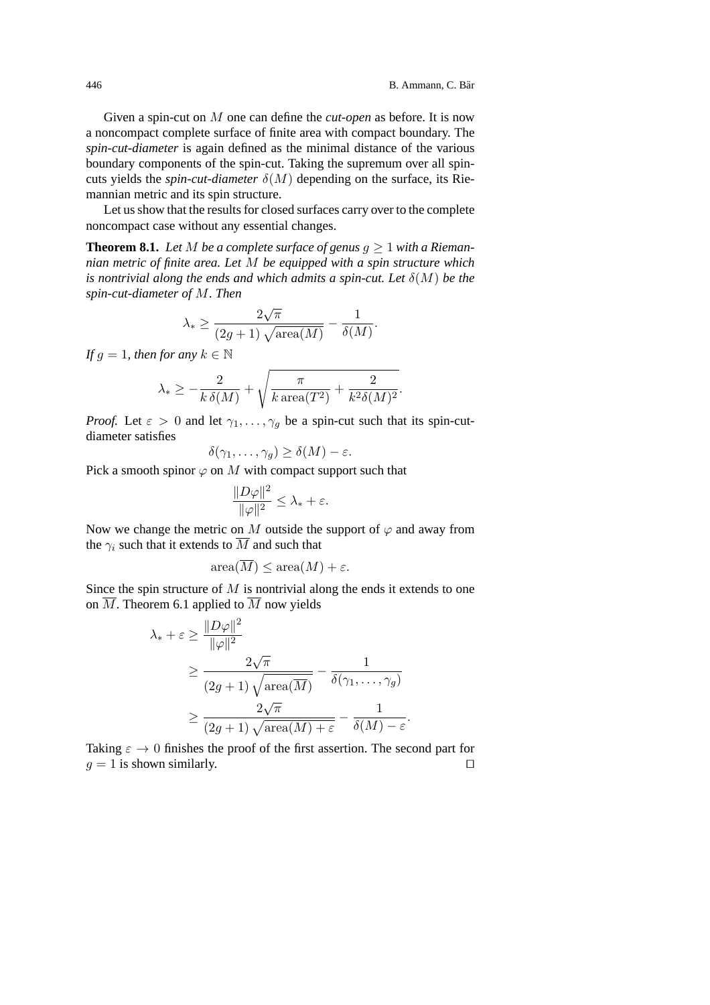Given a spin-cut on M one can define the *cut-open* as before. It is now a noncompact complete surface of finite area with compact boundary. The *spin-cut-diameter* is again defined as the minimal distance of the various boundary components of the spin-cut. Taking the supremum over all spincuts yields the *spin-cut-diameter*  $\delta(M)$  depending on the surface, its Riemannian metric and its spin structure.

Let us show that the results for closed surfaces carry over to the complete noncompact case without any essential changes.

**Theorem 8.1.** Let M be a complete surface of genus  $q \ge 1$  with a Rieman*nian metric of finite area. Let* M *be equipped with a spin structure which is nontrivial along the ends and which admits a spin-cut. Let*  $\delta(M)$  *be the spin-cut-diameter of* M*. Then*

$$
\lambda_* \ge \frac{2\sqrt{\pi}}{(2g+1)\sqrt{\text{area}(M)}} - \frac{1}{\delta(M)}.
$$

*If*  $q = 1$ *, then for any*  $k \in \mathbb{N}$ 

$$
\lambda_* \ge -\frac{2}{k \delta(M)} + \sqrt{\frac{\pi}{k \operatorname{area}(T^2)} + \frac{2}{k^2 \delta(M)^2}}.
$$

*Proof.* Let  $\varepsilon > 0$  and let  $\gamma_1, \ldots, \gamma_q$  be a spin-cut such that its spin-cutdiameter satisfies

$$
\delta(\gamma_1,\ldots,\gamma_g)\geq \delta(M)-\varepsilon.
$$

Pick a smooth spinor  $\varphi$  on M with compact support such that

$$
\frac{\|D\varphi\|^2}{\|\varphi\|^2} \le \lambda_* + \varepsilon.
$$

Now we change the metric on M outside the support of  $\varphi$  and away from the  $\gamma_i$  such that it extends to  $\overline{M}$  and such that

$$
\operatorname{area}(\overline{M}) \le \operatorname{area}(M) + \varepsilon.
$$

Since the spin structure of  $M$  is nontrivial along the ends it extends to one on  $\overline{M}$ . Theorem 6.1 applied to  $\overline{M}$  now yields

$$
\lambda_* + \varepsilon \ge \frac{\|D\varphi\|^2}{\|\varphi\|^2} \ge \frac{2\sqrt{\pi}}{(2g+1)\sqrt{\text{area}(\overline{M})}} - \frac{1}{\delta(\gamma_1, \dots, \gamma_g)} \ge \frac{2\sqrt{\pi}}{(2g+1)\sqrt{\text{area}(M) + \varepsilon}} - \frac{1}{\delta(M) - \varepsilon}.
$$

Taking  $\varepsilon \to 0$  finishes the proof of the first assertion. The second part for  $g = 1$  is shown similarly.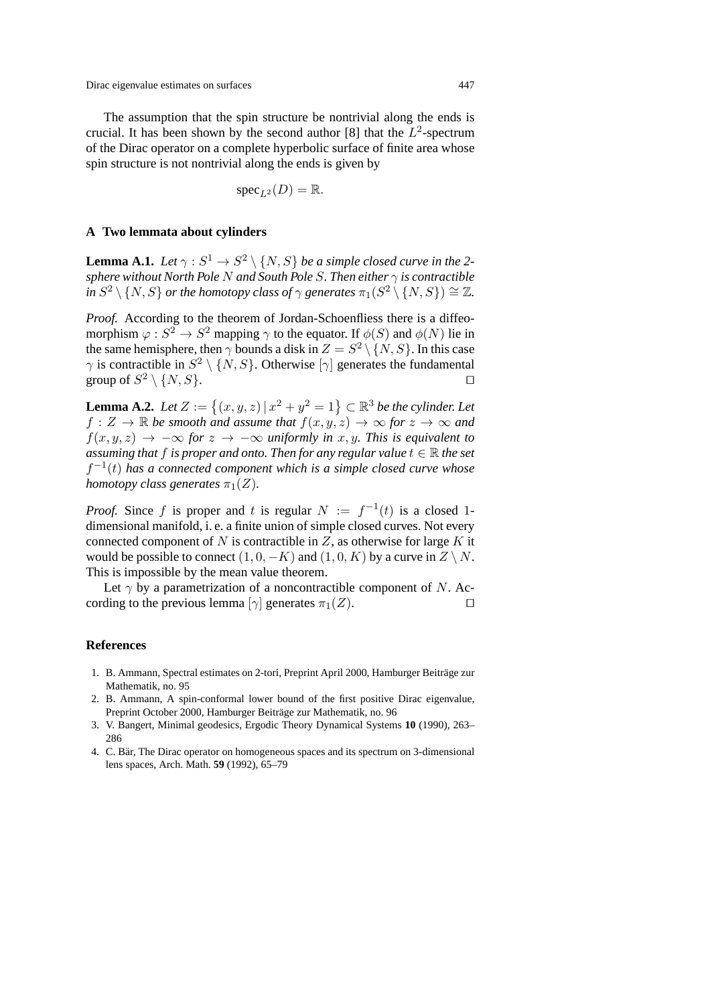The assumption that the spin structure be nontrivial along the ends is crucial. It has been shown by the second author [8] that the  $L^2$ -spectrum of the Dirac operator on a complete hyperbolic surface of finite area whose spin structure is not nontrivial along the ends is given by

$$
{\rm spec}_{L^2}(D) = {\mathbb R}.
$$

#### **A Two lemmata about cylinders**

**Lemma A.1.** *Let*  $\gamma : S^1 \to S^2 \setminus \{N, S\}$  *be a simple closed curve in the 2sphere without North Pole* N *and South Pole* S*. Then either* γ *is contractible in*  $S^2 \setminus \{N,S\}$  *or the homotopy class of*  $\gamma$  *generates*  $\pi_1(S^2 \setminus \{N,S\}) \cong \mathbb{Z}$ *.* 

*Proof.* According to the theorem of Jordan-Schoenfliess there is a diffeomorphism  $\varphi: S^2 \to S^2$  mapping  $\gamma$  to the equator. If  $\phi(S)$  and  $\phi(N)$  lie in the same hemisphere, then  $\gamma$  bounds a disk in  $Z = S^2 \setminus \{N, S\}$ . In this case  $\gamma$  is contractible in  $S^2 \setminus \{N, S\}$ . Otherwise  $[\gamma]$  generates the fundamental group of  $S^2 \setminus \{N, S\}$ .

**Lemma A.2.** Let  $Z := \{(x, y, z) | x^2 + y^2 = 1\} \subset \mathbb{R}^3$  be the cylinder. Let  $f: Z \to \mathbb{R}$  be smooth and assume that  $f(x, y, z) \to \infty$  for  $z \to \infty$  and  $f(x, y, z) \rightarrow -\infty$  *for*  $z \rightarrow -\infty$  *uniformly in*  $x, y$ *. This is equivalent to assuming that*  $f$  *is proper and onto. Then for any regular value*  $t \in \mathbb{R}$  *the set*  $f^{-1}(t)$  has a connected component which is a simple closed curve whose *homotopy class generates*  $\pi_1(Z)$ *.* 

*Proof.* Since f is proper and t is regular  $N := f^{-1}(t)$  is a closed 1dimensional manifold, i. e. a finite union of simple closed curves. Not every connected component of N is contractible in  $Z$ , as otherwise for large K it would be possible to connect  $(1, 0, -K)$  and  $(1, 0, K)$  by a curve in  $Z \setminus N$ . This is impossible by the mean value theorem.

Let  $\gamma$  by a parametrization of a noncontractible component of N. According to the previous lemma [ $\gamma$ ] generates  $\pi_1(Z)$ .

#### **References**

- 1. B. Ammann, Spectral estimates on 2-tori, Preprint April 2000, Hamburger Beiträge zur Mathematik, no. 95
- 2. B. Ammann,A spin-conformal lower bound of the first positive Dirac eigenvalue, Preprint October 2000, Hamburger Beiträge zur Mathematik, no. 96
- 3. V. Bangert,Minimal geodesics,Ergodic Theory Dynamical Systems **10** (1990),263– 286
- 4. C. Bär, The Dirac operator on homogeneous spaces and its spectrum on 3-dimensional lens spaces, Arch. Math. **59** (1992), 65-79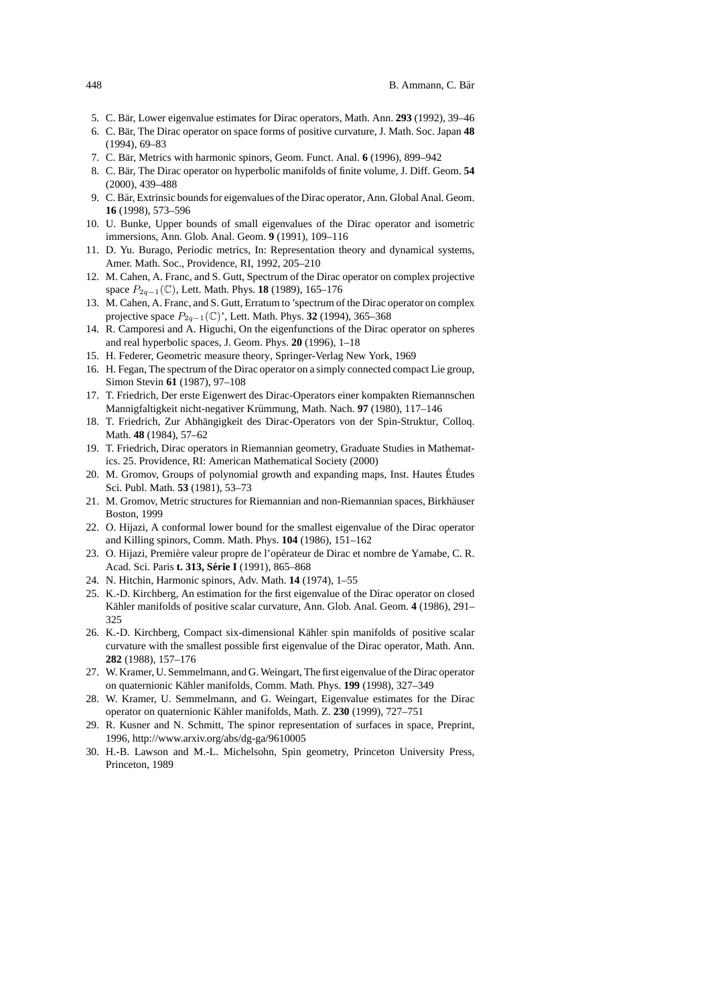- 5. C. Bär, Lower eigenvalue estimates for Dirac operators, Math. Ann. 293 (1992), 39–46
- 6. C. Bar,The Dirac operator on space forms of positive curvature,J. Math. Soc. Japan ¨ **48** (1994),69–83
- 7. C. Bär, Metrics with harmonic spinors, Geom. Funct. Anal. 6 (1996), 899–942
- 8. C. Bär, The Dirac operator on hyperbolic manifolds of finite volume, J. Diff. Geom. **54** (2000),439–488
- 9. C. Bär, Extrinsic bounds for eigenvalues of the Dirac operator, Ann. Global Anal. Geom. **16** (1998),573–596
- 10. U. Bunke,Upper bounds of small eigenvalues of the Dirac operator and isometric immersions, Ann. Glob. Anal. Geom. 9 (1991), 109–116
- 11. D. Yu. Burago, Periodic metrics, In: Representation theory and dynamical systems, Amer. Math. Soc., Providence, RI, 1992, 205-210
- 12. M. Cahen, A. Franc, and S. Gutt, Spectrum of the Dirac operator on complex projective space  $P_{2q-1}(\mathbb{C})$ , Lett. Math. Phys. **18** (1989), 165–176
- 13. M. Cahen, A. Franc, and S. Gutt, Erratum to 'spectrum of the Dirac operator on complex projective space  $P_{2q-1}(\mathbb{C})$ ', Lett. Math. Phys. **32** (1994), 365–368
- 14. R. Camporesi and A. Higuchi, On the eigenfunctions of the Dirac operator on spheres and real hyperbolic spaces, J. Geom. Phys. **20** (1996), 1–18
- 15. H. Federer, Geometric measure theory, Springer-Verlag New York, 1969
- 16. H. Fegan,The spectrum of the Dirac operator on a simply connected compact Lie group, Simon Stevin **61** (1987), 97-108
- 17. T. Friedrich,Der erste Eigenwert des Dirac-Operators einer kompakten Riemannschen Mannigfaltigkeit nicht-negativer Krümmung, Math. Nach. 97 (1980), 117-146
- 18. T. Friedrich, Zur Abhängigkeit des Dirac-Operators von der Spin-Struktur, Colloq. Math. 48 (1984), 57-62
- 19. T. Friedrich,Dirac operators in Riemannian geometry,Graduate Studies in Mathematics. 25. Providence,RI: American Mathematical Society (2000)
- 20. M. Gromov, Groups of polynomial growth and expanding maps, Inst. Hautes Études Sci. Publ. Math. **53** (1981), 53-73
- 21. M. Gromov, Metric structures for Riemannian and non-Riemannian spaces, Birkhäuser Boston,1999
- 22. O. Hijazi, A conformal lower bound for the smallest eigenvalue of the Dirac operator and Killing spinors, Comm. Math. Phys. **104** (1986), 151-162
- 23. O. Hijazi, Première valeur propre de l'opérateur de Dirac et nombre de Yamabe, C. R. Acad. Sci. Paris **t. 313, Serie I ´** (1991),865–868
- 24. N. Hitchin, Harmonic spinors, Adv. Math. **14** (1974), 1–55
- 25. K.-D. Kirchberg,An estimation for the first eigenvalue of the Dirac operator on closed Kähler manifolds of positive scalar curvature, Ann. Glob. Anal. Geom. 4 (1986), 291– 325
- 26. K.-D. Kirchberg, Compact six-dimensional Kähler spin manifolds of positive scalar curvature with the smallest possible first eigenvalue of the Dirac operator, Math. Ann. **282** (1988),157–176
- 27. W. Kramer,U. Semmelmann,and G. Weingart,The first eigenvalue of the Dirac operator on quaternionic Kähler manifolds, Comm. Math. Phys. 199 (1998), 327-349
- 28. W. Kramer, U. Semmelmann, and G. Weingart, Eigenvalue estimates for the Dirac operator on quaternionic Kähler manifolds, Math. Z. 230 (1999), 727–751
- 29. R. Kusner and N. Schmitt, The spinor representation of surfaces in space, Preprint, 1996,http://www.arxiv.org/abs/dg-ga/9610005
- 30. H.-B. Lawson and M.-L. Michelsohn, Spin geometry, Princeton University Press, Princeton,1989